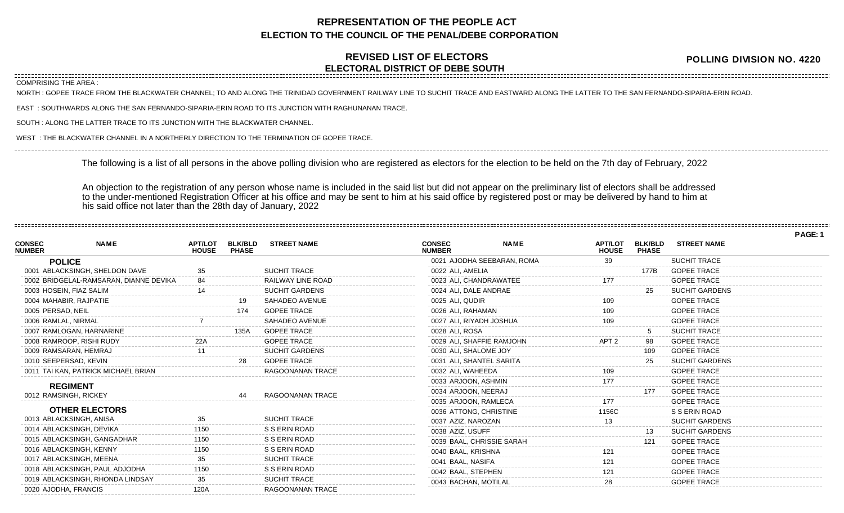## **REPRESENTATION OF THE PEOPLE ACT ELECTION TO THE COUNCIL OF THE PENAL/DEBE CORPORATION**

## **REVISED LIST OF ELECTORS ELECTORAL DISTRICT OF DEBE SOUTH**

**POLLING DIVISION NO. 4220**

COMPRISING THE AREA :

NORTH : GOPEE TRACE FROM THE BLACKWATER CHANNEL; TO AND ALONG THE TRINIDAD GOVERNMENT RAILWAY LINE TO SUCHIT TRACE AND EASTWARD ALONG THE LATTER TO THE SAN FERNANDO-SIPARIA-ERIN ROAD.

EAST : SOUTHWARDS ALONG THE SAN FERNANDO-SIPARIA-ERIN ROAD TO ITS JUNCTION WITH RAGHUNANAN TRACE.

SOUTH : ALONG THE LATTER TRACE TO ITS JUNCTION WITH THE BLACKWATER CHANNEL.

WEST : THE BLACKWATER CHANNEL IN A NORTHERLY DIRECTION TO THE TERMINATION OF GOPEE TRACE.

The following is a list of all persons in the above polling division who are registered as electors for the election to be held on the 7th day of February, 2022

An objection to the registration of any person whose name is included in the said list but did not appear on the preliminary list of electors shall be addressed to the under-mentioned Registration Officer at his office and may be sent to him at his said office by registered post or may be delivered by hand to him at his said office not later than the 28th day of January, 2022

|                                |                                        |                                |                                |                         |                                |                            |                                |                                |                       | PAGE: 1 |
|--------------------------------|----------------------------------------|--------------------------------|--------------------------------|-------------------------|--------------------------------|----------------------------|--------------------------------|--------------------------------|-----------------------|---------|
| <b>CONSEC</b><br><b>NUMBER</b> | <b>NAME</b>                            | <b>APT/LOT</b><br><b>HOUSE</b> | <b>BLK/BLD</b><br><b>PHASE</b> | <b>STREET NAME</b>      | <b>CONSEC</b><br><b>NUMBER</b> | <b>NAME</b>                | <b>APT/LOT</b><br><b>HOUSE</b> | <b>BLK/BLD</b><br><b>PHASE</b> | <b>STREET NAME</b>    |         |
|                                | <b>POLICE</b>                          |                                |                                |                         |                                | 0021 AJODHA SEEBARAN, ROMA | 39                             |                                | <b>SUCHIT TRACE</b>   |         |
|                                | 0001 ABLACKSINGH, SHELDON DAVE         |                                |                                | <b>SUCHIT TRACE</b>     | 0022 ALI, AMELIA               |                            |                                | 177B                           | <b>GOPEE TRACE</b>    |         |
|                                | 0002 BRIDGELAL-RAMSARAN, DIANNE DEVIKA | 84                             |                                | RAILWAY LINE ROAD       | 0023 ALI. CHANDRAWATEE         |                            | 177                            |                                | <b>GOPEE TRACE</b>    |         |
|                                | 0003 HOSEIN, FIAZ SALIM                |                                |                                | <b>SUCHIT GARDENS</b>   | 0024 ALI, DALE ANDRAE          |                            |                                | 25                             | <b>SUCHIT GARDENS</b> |         |
|                                | 0004 MAHABIR, RAJPATIE                 |                                | 19                             | SAHADEO AVENUE          | 0025 ALI, QUDIR                |                            | 109                            |                                | <b>GOPEE TRACE</b>    |         |
| 0005 PERSAD, NEIL              |                                        |                                | 174                            | <b>GOPEE TRACE</b>      | 0026 ALI, RAHAMAN              |                            | 109                            |                                | <b>GOPEE TRACE</b>    |         |
| 0006 RAMLAL, NIRMAL            |                                        |                                |                                | <b>SAHADEO AVENUE</b>   | 0027 ALI, RIYADH JOSHUA        |                            | 109                            |                                | <b>GOPEE TRACE</b>    |         |
|                                | 0007 RAMLOGAN, HARNARINE               |                                | 135A                           | <b>GOPEE TRACE</b>      | 0028 ALI, ROSA                 |                            |                                |                                | <b>SUCHIT TRACE</b>   |         |
|                                | 0008 RAMROOP, RISHI RUDY               |                                |                                | <b>GOPEE TRACE</b>      | 0029 ALI, SHAFFIE RAMJOHN      |                            | APT <sub>2</sub>               | 98                             | <b>GOPEE TRACE</b>    |         |
|                                | 0009 RAMSARAN, HEMRAJ                  |                                |                                | <b>SUCHIT GARDENS</b>   | 0030 ALI. SHALOME JOY          |                            |                                | 109                            | <b>GOPEE TRACE</b>    |         |
|                                | 0010 SEEPERSAD, KEVIN                  |                                | 28                             | <b>GOPEE TRACE</b>      | 0031 ALI, SHANTEL SARITA       |                            |                                | 25                             | <b>SUCHIT GARDENS</b> |         |
|                                | 0011 TAI KAN, PATRICK MICHAEL BRIAN    |                                |                                | <b>RAGOONANAN TRACE</b> | 0032 ALI. WAHEEDA              |                            | 109                            |                                | <b>GOPEE TRACE</b>    |         |
|                                | <b>REGIMENT</b>                        |                                |                                |                         | 0033 ARJOON, ASHMIN            |                            |                                |                                | <b>GOPEE TRACE</b>    |         |
|                                | 0012 RAMSINGH, RICKEY                  |                                |                                | RAGOONANAN TRACE        | 0034 ARJOON, NEERAJ            |                            |                                | 177                            | <b>GOPEE TRACE</b>    |         |
|                                |                                        |                                |                                |                         | 0035 ARJOON, RAMLECA           |                            |                                |                                | <b>GOPEE TRACE</b>    |         |
|                                | <b>OTHER ELECTORS</b>                  |                                |                                |                         | 0036 ATTONG, CHRISTINE         |                            | 1156C                          |                                | S S ERIN ROAD         |         |
|                                | 0013 ABLACKSINGH, ANISA                | 35                             |                                | <b>SUCHIT TRACE</b>     | 0037 AZIZ, NAROZAN             |                            |                                |                                | <b>SUCHIT GARDENS</b> |         |
|                                | 0014 ABLACKSINGH, DEVIKA               | 1150                           |                                | S S ERIN ROAD           | 0038 AZIZ, USUFF               |                            |                                |                                | <b>SUCHIT GARDENS</b> |         |
|                                | 0015 ABLACKSINGH, GANGADHAR            | 150                            |                                | S S ERIN ROAD           | 0039 BAAL, CHRISSIE SARAH      |                            |                                | 121                            | <b>GOPEE TRACE</b>    |         |
|                                | 0016 ABLACKSINGH, KENNY                |                                |                                | S S ERIN ROAD           | 0040 BAAL, KRISHNA             |                            |                                |                                | <b>GOPEE TRACE</b>    |         |
|                                | 0017 ABLACKSINGH, MEENA                |                                |                                | <b>SUCHIT TRACE</b>     | 0041 BAAL, NASIFA              |                            |                                |                                | <b>GOPEE TRACE</b>    |         |
|                                | 0018 ABLACKSINGH, PAUL ADJODHA         | 1150                           |                                | S S ERIN ROAD           | 0042 BAAL, STEPHEN             |                            |                                |                                | <b>GOPEE TRACE</b>    |         |
|                                | 0019 ABLACKSINGH, RHONDA LINDSAY       |                                |                                | <b>SUCHIT TRACE</b>     | 0043 BACHAN, MOTILAL           |                            |                                |                                | <b>GOPEE TRACE</b>    |         |
| 0020 AJODHA, FRANCIS           |                                        | 120A                           |                                | RAGOONANAN TRACE        |                                |                            |                                |                                |                       |         |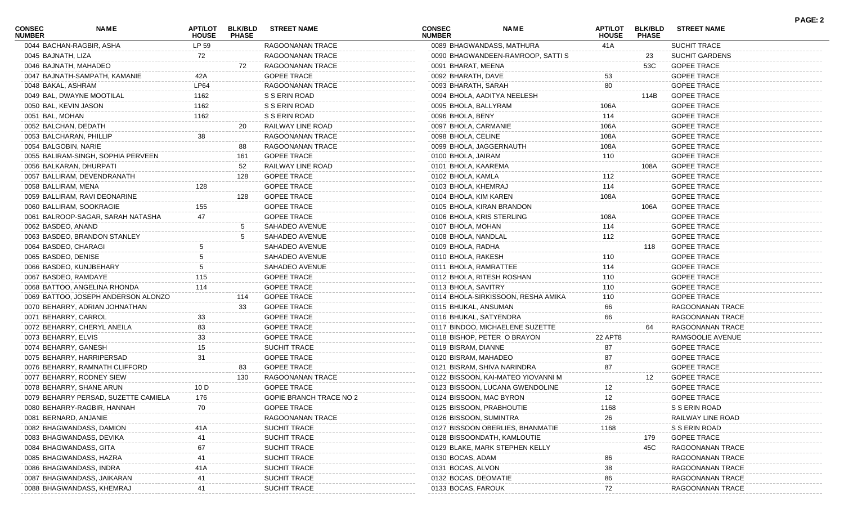| <b>CONSEC</b><br><b>NUMBER</b> | <b>NAME</b>                          | APT/LOT<br><b>HOUSE</b> | <b>BLK/BLD</b><br><b>PHASE</b> | <b>STREET NAME</b>      | <b>CONSEC</b><br><b>NUMBER</b> | <b>NAME</b>                        | <b>APT/LOT</b><br><b>HOUSE</b> | <b>BLK/BLD</b><br><b>PHASE</b> | <b>STREET NAME</b>    | <b>PAGE: 2</b> |
|--------------------------------|--------------------------------------|-------------------------|--------------------------------|-------------------------|--------------------------------|------------------------------------|--------------------------------|--------------------------------|-----------------------|----------------|
|                                | 0044 BACHAN-RAGBIR, ASHA             | LP 59                   |                                | RAGOONANAN TRACE        |                                | 0089 BHAGWANDASS, MATHURA          | 41A                            |                                | SUCHIT TRACE          |                |
| 0045 BAJNATH, LIZA             |                                      | 72                      |                                | RAGOONANAN TRACE        |                                | 0090 BHAGWANDEEN-RAMROOP, SATTI S  |                                | 23                             | <b>SUCHIT GARDENS</b> |                |
| 0046 BAJNATH, MAHADEO          |                                      |                         | 72                             | RAGOONANAN TRACE        | 0091 BHARAT, MEENA             |                                    |                                | 53C                            | <b>GOPEE TRACE</b>    |                |
|                                | 0047 BAJNATH-SAMPATH, KAMANIE        | 42A                     |                                | <b>GOPEE TRACE</b>      | 0092 BHARATH, DAVE             |                                    | 53                             |                                | <b>GOPEE TRACE</b>    |                |
| 0048 BAKAL, ASHRAM             |                                      | LP64                    |                                | RAGOONANAN TRACE        | 0093 BHARATH, SARAH            |                                    | 80                             |                                | <b>GOPEE TRACE</b>    |                |
|                                | 0049 BAL, DWAYNE MOOTILAL            | 1162                    |                                | S S ERIN ROAD           |                                | 0094 BHOLA, AADITYA NEELESH        |                                | 114B                           | <b>GOPEE TRACE</b>    |                |
| 0050 BAL, KEVIN JASON          |                                      | 1162                    |                                | S S ERIN ROAD           | 0095 BHOLA, BALLYRAM           |                                    | 106A                           |                                | <b>GOPEE TRACE</b>    |                |
| 0051 BAL, MOHAN                |                                      | 1162                    |                                | S S ERIN ROAD           | 0096 BHOLA, BENY               |                                    | 114                            |                                | <b>GOPEE TRACE</b>    |                |
| 0052 BALCHAN, DEDATH           |                                      |                         | 20                             | RAILWAY LINE ROAD       | 0097 BHOLA, CARMANIE           |                                    | 106A                           |                                | <b>GOPEE TRACE</b>    |                |
| 0053 BALCHARAN, PHILLIP        |                                      | 38                      |                                | RAGOONANAN TRACE        | 0098 BHOLA, CELINE             |                                    | 108A                           |                                | <b>GOPEE TRACE</b>    |                |
| 0054 BALGOBIN, NARIE           |                                      |                         | 88                             | RAGOONANAN TRACE        | 0099 BHOLA, JAGGERNAUTH        |                                    | 108A                           |                                | <b>GOPEE TRACE</b>    |                |
|                                | 0055 BALIRAM-SINGH, SOPHIA PERVEEN   |                         | 161                            | <b>GOPEE TRACE</b>      | 0100 BHOLA, JAIRAM             |                                    | 110                            |                                | <b>GOPEE TRACE</b>    |                |
|                                | 0056 BALKARAN, DHURPATI              |                         | 52                             | RAILWAY LINE ROAD       | 0101 BHOLA, KAAREMA            |                                    |                                | 108A                           | <b>GOPEE TRACE</b>    |                |
|                                | 0057 BALLIRAM, DEVENDRANATH          |                         | 128                            | <b>GOPEE TRACE</b>      | 0102 BHOLA, KAMLA              |                                    | 112                            |                                | <b>GOPEE TRACE</b>    |                |
| 0058 BALLIRAM, MENA            |                                      | 128                     |                                | <b>GOPEE TRACE</b>      | 0103 BHOLA, KHEMRAJ            |                                    | 114                            |                                | <b>GOPEE TRACE</b>    |                |
|                                | 0059 BALLIRAM, RAVI DEONARINE        |                         | 128                            | <b>GOPEE TRACE</b>      | 0104 BHOLA, KIM KAREN          |                                    | 108A                           |                                | <b>GOPEE TRACE</b>    |                |
|                                | 0060 BALLIRAM, SOOKRAGIE             | 155                     |                                | <b>GOPEE TRACE</b>      |                                | 0105 BHOLA, KIRAN BRANDON          |                                | 106A                           | <b>GOPEE TRACE</b>    |                |
|                                | 0061 BALROOP-SAGAR, SARAH NATASHA    |                         |                                | <b>GOPEE TRACE</b>      | 0106 BHOLA, KRIS STERLING      |                                    | 108A                           |                                | <b>GOPEE TRACE</b>    |                |
| 0062 BASDEO, ANAND             |                                      |                         |                                | SAHADEO AVENUE          | 0107 BHOLA, MOHAN              |                                    | 114                            |                                | <b>GOPEE TRACE</b>    |                |
|                                | 0063 BASDEO, BRANDON STANLEY         |                         |                                | SAHADEO AVENUE          | 0108 BHOLA, NANDLAL            |                                    | 112                            |                                | <b>GOPEE TRACE</b>    |                |
| 0064 BASDEO, CHARAGI           |                                      |                         |                                | SAHADEO AVENUE          | 0109 BHOLA, RADHA              |                                    |                                | 118                            | <b>GOPEE TRACE</b>    |                |
| 0065 BASDEO, DENISE            |                                      |                         |                                | SAHADEO AVENUE          | 0110 BHOLA, RAKESH             |                                    | 110                            |                                | <b>GOPEE TRACE</b>    |                |
|                                | 0066 BASDEO, KUNJBEHARY              |                         |                                | SAHADEO AVENUE          | 0111 BHOLA, RAMRATTEE          |                                    | 114                            |                                | <b>GOPEE TRACE</b>    |                |
| 0067 BASDEO, RAMDAYE           |                                      | 115                     |                                | <b>GOPEE TRACE</b>      |                                | 0112 BHOLA, RITESH ROSHAN          | 110                            |                                | <b>GOPEE TRACE</b>    |                |
|                                | 0068 BATTOO, ANGELINA RHONDA         | 114                     |                                | <b>GOPEE TRACE</b>      | 0113 BHOLA, SAVITRY            |                                    | 110                            |                                | <b>GOPEE TRACE</b>    |                |
|                                | 0069 BATTOO, JOSEPH ANDERSON ALONZO  |                         | 114                            | <b>GOPEE TRACE</b>      |                                | 0114 BHOLA-SIRKISSOON, RESHA AMIKA | 110                            |                                | <b>GOPEE TRACE</b>    |                |
|                                | 0070 BEHARRY, ADRIAN JOHNATHAN       |                         | 33                             | <b>GOPEE TRACE</b>      | 0115 BHUKAL, ANSUMAN           |                                    | 66                             |                                | RAGOONANAN TRACE      |                |
| 0071 BEHARRY, CARROL           |                                      | 33                      |                                | <b>GOPEE TRACE</b>      | 0116 BHUKAL, SATYENDRA         |                                    | 66                             |                                | RAGOONANAN TRACE      |                |
|                                | 0072 BEHARRY, CHERYL ANEILA          | 83                      |                                | <b>GOPEE TRACE</b>      |                                | 0117 BINDOO, MICHAELENE SUZETTE    |                                | 64                             | RAGOONANAN TRACE      |                |
| 0073 BEHARRY, ELVIS            |                                      | 33                      |                                | <b>GOPEE TRACE</b>      |                                | 0118 BISHOP, PETER O BRAYON        | 22 APT8                        |                                | RAMGOOLIE AVENUE      |                |
| 0074 BEHARRY, GANESH           |                                      | 15                      |                                | SUCHIT TRACE            | 0119 BISRAM, DIANNE            |                                    | 87                             |                                | <b>GOPEE TRACE</b>    |                |
|                                | 0075 BEHARRY, HARRIPERSAD            | 31                      |                                | <b>GOPEE TRACE</b>      | 0120 BISRAM, MAHADEO           |                                    | 87                             |                                | <b>GOPEE TRACE</b>    |                |
|                                | 0076 BEHARRY, RAMNATH CLIFFORD       |                         | 83                             | <b>GOPEE TRACE</b>      |                                | 0121 BISRAM, SHIVA NARINDRA        | 87                             |                                | <b>GOPEE TRACE</b>    |                |
|                                | 0077 BEHARRY, RODNEY SIEW            |                         | 130                            | RAGOONANAN TRACE        |                                | 0122 BISSOON, KAI-MATEO YIOVANNI M |                                | 12                             | <b>GOPEE TRACE</b>    |                |
|                                | 0078 BEHARRY, SHANE ARUN             | 10 D                    |                                | <b>GOPEE TRACE</b>      |                                | 0123 BISSOON, LUCANA GWENDOLINE    | 12                             |                                | <b>GOPEE TRACE</b>    |                |
|                                | 0079 BEHARRY PERSAD, SUZETTE CAMIELA | 176                     |                                | GOPIE BRANCH TRACE NO 2 | 0124 BISSOON, MAC BYRON        |                                    |                                |                                |                       |                |
|                                |                                      |                         |                                |                         |                                |                                    | 12                             |                                | <b>GOPEE TRACE</b>    |                |
|                                | 0080 BEHARRY-RAGBIR, HANNAH          | 70                      |                                | <b>GOPEE TRACE</b>      | 0125 BISSOON, PRABHOUTIE       |                                    | 1168                           |                                | S S ERIN ROAD         |                |
| 0081 BERNARD, ANJANIE          |                                      |                         |                                | RAGOONANAN TRACE        | 0126 BISSOON, SUMINTRA         |                                    | 26                             |                                | RAILWAY LINE ROAD     |                |
|                                | 0082 BHAGWANDASS, DAMION             |                         |                                | SUCHIT TRACE            |                                | 0127 BISSOON OBERLIES, BHANMATIE   | 1168                           |                                | S S ERIN ROAD         |                |
|                                | 0083 BHAGWANDASS, DEVIKA             |                         |                                | SUCHIT TRACE            |                                | 0128 BISSOONDATH, KAMLOUTIE        |                                | 179                            | <b>GOPEE TRACE</b>    |                |
| 0084 BHAGWANDASS, GITA         |                                      |                         |                                | SUCHIT TRACE            |                                | 0129 BLAKE, MARK STEPHEN KELLY     |                                | 45C                            | RAGOONANAN TRACE      |                |
|                                | 0085 BHAGWANDASS, HAZRA              |                         |                                | SUCHIT TRACE            | 0130 BOCAS, ADAM               |                                    | 86                             |                                | RAGOONANAN TRACE      |                |
|                                | 0086 BHAGWANDASS, INDRA              | 41 A                    |                                | SUCHIT TRACE            | 0131 BOCAS, ALVON              |                                    | 38                             |                                | RAGOONANAN TRACE      |                |
|                                | 0087 BHAGWANDASS, JAIKARAN           |                         |                                | SUCHIT TRACE            | 0132 BOCAS, DEOMATIE           |                                    | 86                             |                                | RAGOONANAN TRACE      |                |
|                                | 0088 BHAGWANDASS, KHEMRAJ            |                         |                                | SUCHIT TRACE            | 0133 BOCAS, FAROUK             |                                    |                                |                                | RAGOONANAN TRACE      |                |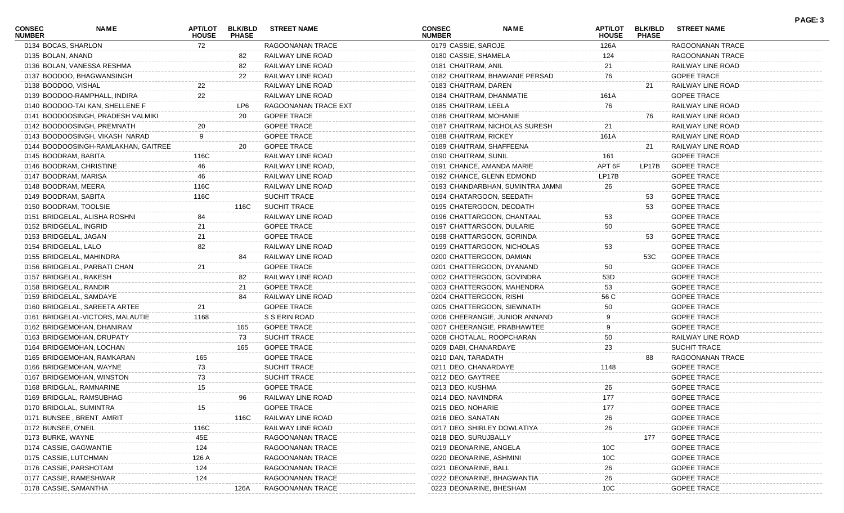| <b>CONSEC</b><br><b>NUMBER</b> | <b>NAME</b>                         | <b>APT/LOT</b><br><b>HOUSE</b> | <b>BLK/BLD</b><br><b>PHASE</b> | <b>STREET NAME</b>   | <b>CONSEC</b><br><b>NUMBER</b> | <b>NAME</b>                      | <b>APT/LOT</b><br><b>HOUSE</b> | <b>BLK/BLD</b><br><b>PHASE</b> | <b>STREET NAME</b> |  |
|--------------------------------|-------------------------------------|--------------------------------|--------------------------------|----------------------|--------------------------------|----------------------------------|--------------------------------|--------------------------------|--------------------|--|
|                                | 0134 BOCAS, SHARLON                 | 72                             |                                | RAGOONANAN TRACE     | 0179 CASSIE, SAROJE            |                                  | 126A                           |                                | RAGOONANAN TRACE   |  |
| 0135 BOLAN, ANAND              |                                     |                                | 82                             | RAILWAY LINE ROAD    | 0180 CASSIE, SHAMELA           |                                  | 124                            |                                | RAGOONANAN TRACE   |  |
|                                | 0136 BOLAN, VANESSA RESHMA          |                                | 82                             | RAILWAY LINE ROAD    | 0181 CHAITRAM, ANIL            |                                  | 21                             |                                | RAILWAY LINE ROAD  |  |
|                                | 0137 BOODOO, BHAGWANSINGH           |                                | 22                             | RAILWAY LINE ROAD    |                                | 0182 CHAITRAM, BHAWANIE PERSAD   | 76                             |                                | <b>GOPEE TRACE</b> |  |
|                                | 0138 BOODOO, VISHAL                 | 22                             |                                | RAILWAY LINE ROAD    | 0183 CHAITRAM, DAREN           |                                  |                                | 21                             | RAILWAY LINE ROAD  |  |
|                                | 0139 BOODOO-RAMPHALL, INDIRA        | 22                             |                                | RAILWAY LINE ROAD    |                                | 0184 CHAITRAM, DHANMATIE         | 161A                           |                                | <b>GOPEE TRACE</b> |  |
|                                | 0140 BOODOO-TAI KAN, SHELLENE F     |                                | LP6                            | RAGOONANAN TRACE EXT | 0185 CHAITRAM, LEELA           |                                  | 76                             |                                | RAILWAY LINE ROAD  |  |
|                                | 0141 BOODOOSINGH, PRADESH VALMIKI   |                                | 20                             | <b>GOPEE TRACE</b>   | 0186 CHAITRAM, MOHANIE         |                                  |                                | 76                             | RAILWAY LINE ROAD  |  |
|                                | 0142 BOODOOSINGH, PREMNATH          | 20                             |                                | <b>GOPEE TRACE</b>   |                                | 0187 CHAITRAM, NICHOLAS SURESH   | 21                             |                                | RAILWAY LINE ROAD  |  |
|                                | 0143 BOODOOSINGH, VIKASH NARAD      | 9                              |                                | <b>GOPEE TRACE</b>   | 0188 CHAITRAM, RICKEY          |                                  | 161A                           |                                | RAILWAY LINE ROAD  |  |
|                                | 0144 BOODOOSINGH-RAMLAKHAN, GAITREE |                                | 20                             | <b>GOPEE TRACE</b>   |                                | 0189 CHAITRAM, SHAFFEENA         |                                | 21                             | RAILWAY LINE ROAD  |  |
|                                | 0145 BOODRAM, BABITA                | 116C                           |                                | RAILWAY LINE ROAD    | 0190 CHAITRAM, SUNIL           |                                  | 161                            |                                | <b>GOPEE TRACE</b> |  |
|                                | 0146 BOODRAM, CHRISTINE             |                                |                                | RAILWAY LINE ROAD,   |                                | 0191 CHANCE, AMANDA MARIE        | APT 6F                         | LP17B                          | <b>GOPEE TRACE</b> |  |
|                                | 0147 BOODRAM, MARISA                | 46                             |                                | RAILWAY LINE ROAD    |                                | 0192 CHANCE, GLENN EDMOND        | LP17B                          |                                | <b>GOPEE TRACE</b> |  |
|                                | 0148 BOODRAM, MEERA                 | 116C                           |                                | RAILWAY LINE ROAD    |                                | 0193 CHANDARBHAN, SUMINTRA JAMNI | 26                             |                                | <b>GOPEE TRACE</b> |  |
|                                | 0149 BOODRAM, SABITA                | 116C                           |                                | SUCHIT TRACE         |                                | 0194 CHATARGOON, SEEDATH         |                                | 53                             | <b>GOPEE TRACE</b> |  |
|                                | 0150 BOODRAM, TOOLSIE               |                                | 116C                           | <b>SUCHIT TRACE</b>  |                                | 0195 CHATERGOON, DEODATH         |                                | 53                             | <b>GOPEE TRACE</b> |  |
|                                | 0151 BRIDGELAL, ALISHA ROSHNI       | 84                             |                                | RAILWAY LINE ROAD    |                                | 0196 CHATTARGOON, CHANTAAL       | 53                             |                                | <b>GOPEE TRACE</b> |  |
|                                | 0152 BRIDGELAL, INGRID              | 21                             |                                | <b>GOPEE TRACE</b>   |                                | 0197 CHATTARGOON, DULARIE        | 50                             |                                | <b>GOPEE TRACE</b> |  |
|                                | 0153 BRIDGELAL, JAGAN               | 21                             |                                | <b>GOPEE TRACE</b>   |                                | 0198 CHATTARGOON, GORINDA        |                                | 53                             | <b>GOPEE TRACE</b> |  |
|                                | 0154 BRIDGELAL, LALO                | 82                             |                                | RAILWAY LINE ROAD    |                                | 0199 CHATTARGOON, NICHOLAS       | 53                             |                                | <b>GOPEE TRACE</b> |  |
|                                | 0155 BRIDGELAL, MAHINDRA            |                                | 84                             | RAILWAY LINE ROAD    |                                | 0200 CHATTERGOON, DAMIAN         |                                | 53C                            | <b>GOPEE TRACE</b> |  |
|                                | 0156 BRIDGELAL, PARBATI CHAN        | 21                             |                                | <b>GOPEE TRACE</b>   |                                | 0201 CHATTERGOON, DYANAND        | 50                             |                                | <b>GOPEE TRACE</b> |  |
|                                | 0157 BRIDGELAL, RAKESH              |                                | 82                             | RAILWAY LINE ROAD    |                                | 0202 CHATTERGOON, GOVINDRA       | 53D                            |                                | <b>GOPEE TRACE</b> |  |
|                                | 0158 BRIDGELAL, RANDIR              |                                | 21                             | <b>GOPEE TRACE</b>   |                                | 0203 CHATTERGOON, MAHENDRA       | 53                             |                                | <b>GOPEE TRACE</b> |  |
|                                | 0159 BRIDGELAL, SAMDAYE             |                                | 84                             | RAILWAY LINE ROAD    | 0204 CHATTERGOON, RISHI        |                                  | 56 C                           |                                | <b>GOPEE TRACE</b> |  |
|                                | 0160 BRIDGELAL, SAREETA ARTEE       | 21                             |                                | <b>GOPEE TRACE</b>   |                                | 0205 CHATTERGOON, SIEWNATH       | 50                             |                                | <b>GOPEE TRACE</b> |  |
|                                | 0161 BRIDGELAL-VICTORS, MALAUTIE    | 1168                           |                                | S S ERIN ROAD        |                                | 0206 CHEERANGIE, JUNIOR ANNAND   | 9                              |                                | <b>GOPEE TRACE</b> |  |
|                                | 0162 BRIDGEMOHAN, DHANIRAM          |                                | 165                            | <b>GOPEE TRACE</b>   |                                | 0207 CHEERANGIE, PRABHAWTEE      | 9                              |                                | <b>GOPEE TRACE</b> |  |
|                                | 0163 BRIDGEMOHAN, DRUPATY           |                                | 73                             | <b>SUCHIT TRACE</b>  |                                | 0208 CHOTALAL, ROOPCHARAN        | 50                             |                                | RAILWAY LINE ROAD  |  |
|                                | 0164 BRIDGEMOHAN, LOCHAN            |                                | 165                            | <b>GOPEE TRACE</b>   | 0209 DABI, CHANARDAYE          |                                  | 23                             |                                | SUCHIT TRACE       |  |
|                                | 0165 BRIDGEMOHAN, RAMKARAN          | 165                            |                                | <b>GOPEE TRACE</b>   | 0210 DAN, TARADATH             |                                  |                                | 88                             | RAGOONANAN TRACE   |  |
|                                | 0166 BRIDGEMOHAN, WAYNE             | 73                             |                                | SUCHIT TRACE         | 0211 DEO, CHANARDAYE           |                                  | 1148                           |                                | <b>GOPEE TRACE</b> |  |
|                                | 0167 BRIDGEMOHAN, WINSTON           | 73                             |                                | SUCHIT TRACE         | 0212 DEO, GAYTREE              |                                  |                                |                                | <b>GOPEE TRACE</b> |  |
|                                | 0168 BRIDGLAL, RAMNARINE            | 15                             |                                | <b>GOPEE TRACE</b>   | 0213 DEO, KUSHMA               |                                  | 26                             |                                | <b>GOPEE TRACE</b> |  |
|                                | 0169 BRIDGLAL, RAMSUBHAG            |                                |                                | RAILWAY LINE ROAD    | 0214 DEO, NAVINDRA             |                                  | 177                            |                                | <b>GOPEE TRACE</b> |  |
|                                | 0170 BRIDGLAL, SUMINTRA             | 15                             |                                | <b>GOPEE TRACE</b>   | 0215 DEO, NOHARIE              |                                  | 177                            |                                | <b>GOPEE TRACE</b> |  |
|                                | 0171 BUNSEE, BRENT AMRIT            |                                | 116C                           | RAILWAY LINE ROAD    | 0216 DEO, SANATAN              |                                  | 26                             |                                | <b>GOPEE TRACE</b> |  |
| 0172 BUNSEE, O'NEIL            |                                     | 116C                           |                                | RAILWAY LINE ROAD    |                                | 0217 DEO, SHIRLEY DOWLATIYA      | 26                             |                                | <b>GOPEE TRACE</b> |  |
| 0173 BURKE, WAYNE              |                                     | 45E                            |                                | RAGOONANAN TRACE     | 0218 DEO, SURUJBALLY           |                                  |                                | 177                            | <b>GOPEE TRACE</b> |  |
|                                | 0174 CASSIE, GAGWANTIE              | 124                            |                                | RAGOONANAN TRACE     | 0219 DEONARINE, ANGELA         |                                  | 10C                            |                                | <b>GOPEE TRACE</b> |  |
|                                | 0175 CASSIE, LUTCHMAN               | 126 A                          |                                | RAGOONANAN TRACE     | 0220 DEONARINE, ASHMINI        |                                  | 10 <sub>C</sub>                |                                | <b>GOPEE TRACE</b> |  |
|                                | 0176 CASSIE, PARSHOTAM              | 124                            |                                | RAGOONANAN TRACE     | 0221 DEONARINE, BALL           |                                  | 26                             |                                | <b>GOPEE TRACE</b> |  |
|                                | 0177 CASSIE, RAMESHWAR              | 124                            |                                | RAGOONANAN TRACE     |                                | 0222 DEONARINE, BHAGWANTIA       | 26                             |                                | <b>GOPEE TRACE</b> |  |
|                                | 0178 CASSIE, SAMANTHA               |                                | 126A                           | RAGOONANAN TRACE     |                                | 0223 DEONARINE, BHESHAM          | 10 <sub>C</sub>                |                                | <b>GOPEE TRACE</b> |  |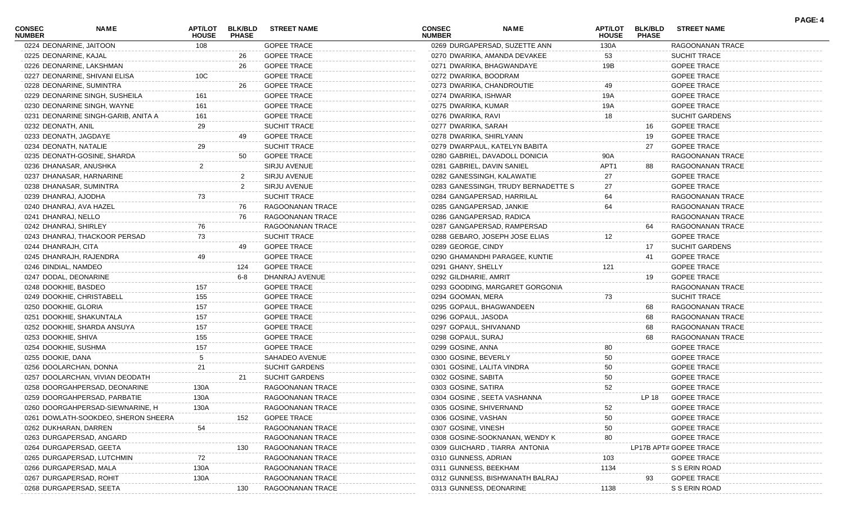| <b>CONSEC</b><br><b>NUMBER</b> | <b>NAME</b>                         | <b>APT/LOT</b><br><b>HOUSE</b> | <b>BLK/BLD</b><br><b>PHASE</b> | <b>STREET NAME</b>    | <b>CONSEC</b><br><b>NUMBER</b> | <b>NAME</b>                         | <b>APT/LOT</b><br><b>HOUSE</b> | <b>BLK/BLD</b><br><b>PHASE</b> | <b>STREET NAME</b>     | <b>PAGE: 4</b> |
|--------------------------------|-------------------------------------|--------------------------------|--------------------------------|-----------------------|--------------------------------|-------------------------------------|--------------------------------|--------------------------------|------------------------|----------------|
|                                | 0224 DEONARINE, JAITOON             | 108                            |                                | <b>GOPEE TRACE</b>    |                                | 0269 DURGAPERSAD, SUZETTE ANN       | 130A                           |                                | RAGOONANAN TRACE       |                |
| 0225 DEONARINE, KAJAL          |                                     |                                | 26                             | <b>GOPEE TRACE</b>    |                                | 0270 DWARIKA, AMANDA DEVAKEE        | 53                             |                                | SUCHIT TRACE           |                |
|                                | 0226 DEONARINE, LAKSHMAN            |                                | 26                             | <b>GOPEE TRACE</b>    |                                | 0271 DWARIKA, BHAGWANDAYE           | 19B                            |                                | <b>GOPEE TRACE</b>     |                |
|                                | 0227 DEONARINE, SHIVANI ELISA       | 10 <sup>C</sup>                |                                | <b>GOPEE TRACE</b>    | 0272 DWARIKA, BOODRAM          |                                     |                                |                                | <b>GOPEE TRACE</b>     |                |
|                                | 0228 DEONARINE, SUMINTRA            |                                | 26                             | <b>GOPEE TRACE</b>    |                                | 0273 DWARIKA, CHANDROUTIE           | 49                             |                                | <b>GOPEE TRACE</b>     |                |
|                                | 0229 DEONARINE SINGH, SUSHEILA      | 161                            |                                | <b>GOPEE TRACE</b>    | 0274 DWARIKA, ISHWAR           |                                     | 19A                            |                                | <b>GOPEE TRACE</b>     |                |
|                                | 0230 DEONARINE SINGH, WAYNE         | 161                            |                                | <b>GOPEE TRACE</b>    | 0275 DWARIKA, KUMAR            |                                     | 19A                            |                                | <b>GOPEE TRACE</b>     |                |
|                                | 0231 DEONARINE SINGH-GARIB, ANITA A | 161                            |                                | <b>GOPEE TRACE</b>    | 0276 DWARIKA, RAVI             |                                     | 18                             |                                | SUCHIT GARDENS         |                |
| 0232 DEONATH, ANIL             |                                     | 29                             |                                | <b>SUCHIT TRACE</b>   | 0277 DWARIKA, SARAH            |                                     |                                | 16                             | <b>GOPEE TRACE</b>     |                |
| 0233 DEONATH, JAGDAYE          |                                     |                                |                                | <b>GOPEE TRACE</b>    | 0278 DWARIKA, SHIRLYANN        |                                     |                                | 19                             | <b>GOPEE TRACE</b>     |                |
| 0234 DEONATH, NATALIE          |                                     | 29                             |                                | <b>SUCHIT TRACE</b>   |                                | 0279 DWARPAUL, KATELYN BABITA       |                                | 27                             | <b>GOPEE TRACE</b>     |                |
|                                | 0235 DEONATH-GOSINE, SHARDA         |                                | 50                             | <b>GOPEE TRACE</b>    |                                | 0280 GABRIEL, DAVADOLL DONICIA      | 90A                            |                                | RAGOONANAN TRACE       |                |
|                                | 0236 DHANASAR, ANUSHKA              | 2                              |                                | SIRJU AVENUE          | 0281 GABRIEL, DAVIN SANIEL     |                                     | APT1                           | 88                             | RAGOONANAN TRACE       |                |
|                                | 0237 DHANASAR, HARNARINE            |                                | $\overline{2}$                 | SIRJU AVENUE          |                                | 0282 GANESSINGH, KALAWATIE          | 27                             |                                | <b>GOPEE TRACE</b>     |                |
|                                | 0238 DHANASAR, SUMINTRA             |                                | $\overline{2}$                 | SIRJU AVENUE          |                                | 0283 GANESSINGH, TRUDY BERNADETTE S | 27                             |                                | <b>GOPEE TRACE</b>     |                |
| 0239 DHANRAJ, AJODHA           |                                     | 73                             |                                | <b>SUCHIT TRACE</b>   |                                | 0284 GANGAPERSAD, HARRILAL          | 64                             |                                | RAGOONANAN TRACE       |                |
|                                | 0240 DHANRAJ, AVA HAZEL             |                                | 76                             | RAGOONANAN TRACE      | 0285 GANGAPERSAD, JANKIE       |                                     | 64                             |                                | RAGOONANAN TRACE       |                |
| 0241 DHANRAJ, NELLO            |                                     |                                | 76                             | RAGOONANAN TRACE      | 0286 GANGAPERSAD, RADICA       |                                     |                                |                                | RAGOONANAN TRACE       |                |
| 0242 DHANRAJ, SHIRLEY          |                                     | 76                             |                                | RAGOONANAN TRACE      |                                | 0287 GANGAPERSAD, RAMPERSAD         |                                | 64                             | RAGOONANAN TRACE       |                |
|                                | 0243 DHANRAJ, THACKOOR PERSAD       | 73                             |                                | SUCHIT TRACE          |                                | 0288 GEBARO, JOSEPH JOSE ELIAS      | 12                             |                                | <b>GOPEE TRACE</b>     |                |
| 0244 DHANRAJH, CITA            |                                     |                                | 49                             | <b>GOPEE TRACE</b>    | 0289 GEORGE, CINDY             |                                     |                                | 17                             | <b>SUCHIT GARDENS</b>  |                |
|                                | 0245 DHANRAJH, RAJENDRA             | 49                             |                                | <b>GOPEE TRACE</b>    |                                | 0290 GHAMANDHI PARAGEE, KUNTIE      |                                | 41                             | <b>GOPEE TRACE</b>     |                |
| 0246 DINDIAL, NAMDEO           |                                     |                                | 124                            | <b>GOPEE TRACE</b>    | 0291 GHANY, SHELLY             |                                     | 121                            |                                | <b>GOPEE TRACE</b>     |                |
| 0247 DODAL, DEONARINE          |                                     |                                | 6-8                            | DHANRAJ AVENUE        | 0292 GILDHARIE, AMRIT          |                                     |                                | 19                             | <b>GOPEE TRACE</b>     |                |
|                                |                                     |                                |                                | <b>GOPEE TRACE</b>    |                                |                                     |                                |                                |                        |                |
| 0248 DOOKHIE, BASDEO           |                                     | 157                            |                                |                       |                                | 0293 GOODING, MARGARET GORGONIA     |                                |                                | RAGOONANAN TRACE       |                |
|                                | 0249 DOOKHIE, CHRISTABELL           | 155                            |                                | <b>GOPEE TRACE</b>    | 0294 GOOMAN, MERA              |                                     | 73                             |                                | SUCHIT TRACE           |                |
| 0250 DOOKHIE, GLORIA           |                                     | 157                            |                                | <b>GOPEE TRACE</b>    |                                | 0295 GOPAUL, BHAGWANDEEN            |                                | 68                             | RAGOONANAN TRACE       |                |
|                                | 0251 DOOKHIE, SHAKUNTALA            | 157                            |                                | <b>GOPEE TRACE</b>    | 0296 GOPAUL, JASODA            |                                     |                                | 68                             | RAGOONANAN TRACE       |                |
|                                | 0252 DOOKHIE, SHARDA ANSUYA         | 157                            |                                | <b>GOPEE TRACE</b>    | 0297 GOPAUL, SHIVANAND         |                                     |                                | 68                             | RAGOONANAN TRACE       |                |
| 0253 DOOKHIE, SHIVA            |                                     | 155                            |                                | <b>GOPEE TRACE</b>    | 0298 GOPAUL, SURAJ             |                                     |                                | 68                             | RAGOONANAN TRACE       |                |
| 0254 DOOKHIE, SUSHMA           |                                     | 157                            |                                | <b>GOPEE TRACE</b>    | 0299 GOSINE, ANNA              |                                     | 80                             |                                | <b>GOPEE TRACE</b>     |                |
| 0255 DOOKIE, DANA              |                                     |                                |                                | SAHADEO AVENUE        | 0300 GOSINE, BEVERLY           |                                     | 50                             |                                | <b>GOPEE TRACE</b>     |                |
|                                | 0256 DOOLARCHAN, DONNA              | 21                             |                                | <b>SUCHIT GARDENS</b> | 0301 GOSINE, LALITA VINDRA     |                                     | 50                             |                                | <b>GOPEE TRACE</b>     |                |
|                                | 0257 DOOLARCHAN, VIVIAN DEODATH     |                                | 21                             | <b>SUCHIT GARDENS</b> | 0302 GOSINE, SABITA            |                                     | 50                             |                                | <b>GOPEE TRACE</b>     |                |
|                                | 0258 DOORGAHPERSAD, DEONARINE       | 130A                           |                                | RAGOONANAN TRACE      | 0303 GOSINE, SATIRA            |                                     | 52                             |                                | <b>GOPEE TRACE</b>     |                |
|                                | 0259 DOORGAHPERSAD, PARBATIE        | 130A                           |                                | RAGOONANAN TRACE      |                                | 0304 GOSINE, SEETA VASHANNA         |                                | LP 18                          | <b>GOPEE TRACE</b>     |                |
|                                | 0260 DOORGAHPERSAD-SIEWNARINE, H    | 130A                           |                                | RAGOONANAN TRACE      | 0305 GOSINE, SHIVERNAND        |                                     | 52                             |                                | <b>GOPEE TRACE</b>     |                |
|                                | 0261 DOWLATH-SOOKDEO, SHERON SHEERA |                                | 152                            | <b>GOPEE TRACE</b>    | 0306 GOSINE, VASHAN            |                                     | 50                             |                                | <b>GOPEE TRACE</b>     |                |
| 0262 DUKHARAN, DARREN          |                                     | 54                             |                                | RAGOONANAN TRACE      | 0307 GOSINE, VINESH            |                                     | 50                             |                                | <b>GOPEE TRACE</b>     |                |
|                                | 0263 DURGAPERSAD, ANGARD            |                                |                                | RAGOONANAN TRACE      |                                | 0308 GOSINE-SOOKNANAN, WENDY K      | 80                             |                                | <b>GOPEE TRACE</b>     |                |
|                                | 0264 DURGAPERSAD, GEETA             |                                | 130                            | RAGOONANAN TRACE      |                                | 0309 GUICHARD, TIARRA ANTONIA       |                                |                                | LP17B APT# GOPEE TRACE |                |
|                                | 0265 DURGAPERSAD, LUTCHMIN          | 72                             |                                | RAGOONANAN TRACE      | 0310 GUNNESS, ADRIAN           |                                     | 103                            |                                | <b>GOPEE TRACE</b>     |                |
|                                | 0266 DURGAPERSAD, MALA              | 130A                           |                                | RAGOONANAN TRACE      | 0311 GUNNESS, BEEKHAM          |                                     | 1134                           |                                | S S ERIN ROAD          |                |
|                                | 0267 DURGAPERSAD, ROHIT             | 130A                           |                                | RAGOONANAN TRACE      |                                | 0312 GUNNESS, BISHWANATH BALRAJ     |                                | 93                             | <b>GOPEE TRACE</b>     |                |
|                                | 0268 DURGAPERSAD, SEETA             |                                | 130                            | RAGOONANAN TRACE      | 0313 GUNNESS, DEONARINE        |                                     | 1138                           |                                | S S ERIN ROAD          |                |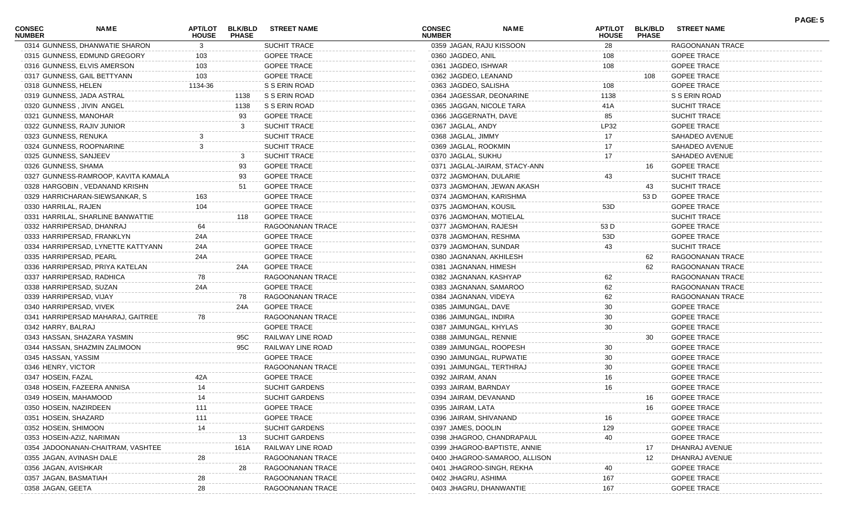| <b>CONSEC</b><br><b>NUMBER</b> | NAME                                | <b>APT/LOT</b><br><b>HOUSE</b> | <b>BLK/BLD</b><br><b>PHASE</b> | <b>STREET NAME</b>    | <b>CONSEC</b><br><b>NUMBER</b> | <b>NAME</b>                   | <b>APT/LOT</b><br><b>HOUSE</b> | <b>BLK/BLD</b><br><b>PHASE</b> | <b>STREET NAME</b>  | PAGE: 5 |
|--------------------------------|-------------------------------------|--------------------------------|--------------------------------|-----------------------|--------------------------------|-------------------------------|--------------------------------|--------------------------------|---------------------|---------|
|                                | 0314 GUNNESS, DHANWATIE SHARON      | 3                              |                                | <b>SUCHIT TRACE</b>   | 0359 JAGAN, RAJU KISSOON       |                               | 28                             |                                | RAGOONANAN TRACE    |         |
|                                | 0315 GUNNESS, EDMUND GREGORY        | 103                            |                                | <b>GOPEE TRACE</b>    | 0360 JAGDEO, ANIL              |                               | 108                            |                                | <b>GOPEE TRACE</b>  |         |
|                                | 0316 GUNNESS, ELVIS AMERSON         | 103                            |                                | <b>GOPEE TRACE</b>    | 0361 JAGDEO, ISHWAR            |                               | 108                            |                                | <b>GOPEE TRACE</b>  |         |
|                                | 0317 GUNNESS, GAIL BETTYANN         | 103                            |                                | <b>GOPEE TRACE</b>    | 0362 JAGDEO, LEANAND           |                               |                                | 108                            | <b>GOPEE TRACE</b>  |         |
| 0318 GUNNESS, HELEN            |                                     | 1134-36                        |                                | S S ERIN ROAD         | 0363 JAGDEO, SALISHA           |                               | 108                            |                                | <b>GOPEE TRACE</b>  |         |
|                                | 0319 GUNNESS, JADA ASTRAL           |                                | 1138                           | S S ERIN ROAD         | 0364 JAGESSAR, DEONARINE       |                               | 1138                           |                                | S S ERIN ROAD       |         |
|                                | 0320 GUNNESS, JIVIN ANGEL           |                                | 1138                           | S S ERIN ROAD         | 0365 JAGGAN, NICOLE TARA       |                               | 41A                            |                                | SUCHIT TRACE        |         |
|                                | 0321 GUNNESS, MANOHAR               |                                | 93                             | <b>GOPEE TRACE</b>    | 0366 JAGGERNATH, DAVE          |                               | 85                             |                                | SUCHIT TRACE        |         |
|                                | 0322 GUNNESS, RAJIV JUNIOR          |                                | 3                              | <b>SUCHIT TRACE</b>   | 0367 JAGLAL, ANDY              |                               | LP32                           |                                | <b>GOPEE TRACE</b>  |         |
| 0323 GUNNESS, RENUKA           |                                     |                                |                                | <b>SUCHIT TRACE</b>   | 0368 JAGLAL, JIMMY             |                               | 17                             |                                | SAHADEO AVENUE      |         |
|                                | 0324 GUNNESS, ROOPNARINE            | 3                              |                                | <b>SUCHIT TRACE</b>   | 0369 JAGLAL, ROOKMIN           |                               | 17                             |                                | SAHADEO AVENUE      |         |
| 0325 GUNNESS, SANJEEV          |                                     |                                | -3                             | SUCHIT TRACE          | 0370 JAGLAL, SUKHU             |                               | 17                             |                                | SAHADEO AVENUE      |         |
| 0326 GUNNESS, SHAMA            |                                     |                                | 93                             | <b>GOPEE TRACE</b>    |                                | 0371 JAGLAL-JAIRAM, STACY-ANN |                                | 16                             | <b>GOPEE TRACE</b>  |         |
|                                | 0327 GUNNESS-RAMROOP, KAVITA KAMALA |                                | 93                             | <b>GOPEE TRACE</b>    | 0372 JAGMOHAN, DULARIE         |                               | 43                             |                                | SUCHIT TRACE        |         |
|                                | 0328 HARGOBIN, VEDANAND KRISHN      |                                | 51                             | <b>GOPEE TRACE</b>    |                                | 0373 JAGMOHAN, JEWAN AKASH    |                                | 43                             | SUCHIT TRACE        |         |
|                                | 0329 HARRICHARAN-SIEWSANKAR, S      | 163                            |                                | <b>GOPEE TRACE</b>    | 0374 JAGMOHAN, KARISHMA        |                               |                                | 53 D                           | <b>GOPEE TRACE</b>  |         |
| 0330 HARRILAL, RAJEN           |                                     | 104                            |                                | <b>GOPEE TRACE</b>    | 0375 JAGMOHAN, KOUSIL          |                               | 53D                            |                                | <b>GOPEE TRACE</b>  |         |
|                                | 0331 HARRILAL, SHARLINE BANWATTIE   |                                | 118                            | <b>GOPEE TRACE</b>    | 0376 JAGMOHAN, MOTIELAL        |                               |                                |                                | <b>SUCHIT TRACE</b> |         |
|                                | 0332 HARRIPERSAD, DHANRAJ           | 64                             |                                | RAGOONANAN TRACE      | 0377 JAGMOHAN, RAJESH          |                               | 53 D                           |                                | <b>GOPEE TRACE</b>  |         |
|                                | 0333 HARRIPERSAD, FRANKLYN          | 24A                            |                                | <b>GOPEE TRACE</b>    | 0378 JAGMOHAN, RESHMA          |                               | 53D                            |                                | <b>GOPEE TRACE</b>  |         |
|                                | 0334 HARRIPERSAD, LYNETTE KATTYANN  | 24A                            |                                | <b>GOPEE TRACE</b>    | 0379 JAGMOHAN, SUNDAR          |                               | 43                             |                                | SUCHIT TRACE        |         |
|                                | 0335 HARRIPERSAD, PEARL             | 24A                            |                                | <b>GOPEE TRACE</b>    | 0380 JAGNANAN, AKHILESH        |                               |                                | 62                             | RAGOONANAN TRACE    |         |
|                                | 0336 HARRIPERSAD, PRIYA KATELAN     |                                | 24A                            | <b>GOPEE TRACE</b>    | 0381 JAGNANAN, HIMESH          |                               |                                | 62                             | RAGOONANAN TRACE    |         |
|                                | 0337 HARRIPERSAD, RADHICA           | 78                             |                                | RAGOONANAN TRACE      | 0382 JAGNANAN, KASHYAP         |                               | 62                             |                                | RAGOONANAN TRACE    |         |
|                                | 0338 HARRIPERSAD, SUZAN             | 24A                            |                                | <b>GOPEE TRACE</b>    | 0383 JAGNANAN, SAMAROO         |                               | 62                             |                                | RAGOONANAN TRACE    |         |
|                                | 0339 HARRIPERSAD, VIJAY             |                                | 78                             | RAGOONANAN TRACE      |                                |                               |                                |                                |                     |         |
|                                |                                     |                                |                                |                       | 0384 JAGNANAN, VIDEYA          |                               | 62                             |                                | RAGOONANAN TRACE    |         |
|                                | 0340 HARRIPERSAD, VIVEK             |                                | 24A                            | <b>GOPEE TRACE</b>    | 0385 JAIMUNGAL, DAVE           |                               | 30                             |                                | <b>GOPEE TRACE</b>  |         |
|                                | 0341 HARRIPERSAD MAHARAJ, GAITREE   | 78                             |                                | RAGOONANAN TRACE      | 0386 JAIMUNGAL, INDIRA         |                               | 30                             |                                | <b>GOPEE TRACE</b>  |         |
| 0342 HARRY, BALRAJ             |                                     |                                |                                | <b>GOPEE TRACE</b>    | 0387 JAIMUNGAL, KHYLAS         |                               | 30                             |                                | <b>GOPEE TRACE</b>  |         |
|                                | 0343 HASSAN, SHAZARA YASMIN         |                                | 95C                            | RAILWAY LINE ROAD     | 0388 JAIMUNGAL, RENNIE         |                               |                                | 30                             | <b>GOPEE TRACE</b>  |         |
|                                | 0344 HASSAN, SHAZMIN ZALIMOON       |                                | 95C                            | RAILWAY LINE ROAD     | 0389 JAIMUNGAL, ROOPESH        |                               | 30                             |                                | <b>GOPEE TRACE</b>  |         |
| 0345 HASSAN, YASSIM            |                                     |                                |                                | <b>GOPEE TRACE</b>    | 0390 JAIMUNGAL, RUPWATIE       |                               | 30                             |                                | <b>GOPEE TRACE</b>  |         |
| 0346 HENRY, VICTOR             |                                     |                                |                                | RAGOONANAN TRACE      | 0391 JAIMUNGAL, TERTHRAJ       |                               | 30                             |                                | <b>GOPEE TRACE</b>  |         |
| 0347 HOSEIN, FAZAL             |                                     | 42A                            |                                | <b>GOPEE TRACE</b>    | 0392 JAIRAM, ANAN              |                               | 16                             |                                | <b>GOPEE TRACE</b>  |         |
|                                | 0348 HOSEIN, FAZEERA ANNISA         | 14                             |                                | <b>SUCHIT GARDENS</b> | 0393 JAIRAM, BARNDAY           |                               | 16                             |                                | <b>GOPEE TRACE</b>  |         |
| 0349 HOSEIN, MAHAMOOD          |                                     | 14                             |                                | <b>SUCHIT GARDENS</b> | 0394 JAIRAM, DEVANAND          |                               |                                | 16                             | <b>GOPEE TRACE</b>  |         |
| 0350 HOSEIN, NAZIRDEEN         |                                     | 111                            |                                | <b>GOPEE TRACE</b>    | 0395 JAIRAM, LATA              |                               |                                | 16                             | <b>GOPEE TRACE</b>  |         |
| 0351 HOSEIN, SHAZARD           |                                     | 111                            |                                | <b>GOPEE TRACE</b>    | 0396 JAIRAM, SHIVANAND         |                               | 16                             |                                | <b>GOPEE TRACE</b>  |         |
| 0352 HOSEIN, SHIMOON           |                                     | 14                             |                                | SUCHIT GARDENS        | 0397 JAMES, DOOLIN             |                               | 129                            |                                | <b>GOPEE TRACE</b>  |         |
|                                | 0353 HOSEIN-AZIZ, NARIMAN           |                                | 13                             | <b>SUCHIT GARDENS</b> |                                | 0398 JHAGROO, CHANDRAPAUL     | 40                             |                                | <b>GOPEE TRACE</b>  |         |
|                                | 0354 JADOONANAN-CHAITRAM, VASHTEE   |                                | 161A                           | RAILWAY LINE ROAD     |                                | 0399 JHAGROO-BAPTISTE, ANNIE  |                                | 17                             | DHANRAJ AVENUE      |         |
|                                | 0355 JAGAN, AVINASH DALE            | 28                             |                                | RAGOONANAN TRACE      |                                | 0400 JHAGROO-SAMAROO, ALLISON |                                | 12                             | DHANRAJ AVENUE      |         |
| 0356 JAGAN, AVISHKAR           |                                     |                                | 28                             | RAGOONANAN TRACE      | 0401 JHAGROO-SINGH, REKHA      |                               | 40                             |                                | <b>GOPEE TRACE</b>  |         |
| 0357 JAGAN, BASMATIAH          |                                     | 28                             |                                | RAGOONANAN TRACE      | 0402 JHAGRU, ASHIMA            |                               | 167                            |                                | <b>GOPEE TRACE</b>  |         |
| 0358 JAGAN, GEETA              |                                     | 28                             |                                | RAGOONANAN TRACE      | 0403 JHAGRU, DHANWANTIE        |                               | 167                            |                                | <b>GOPEE TRACE</b>  |         |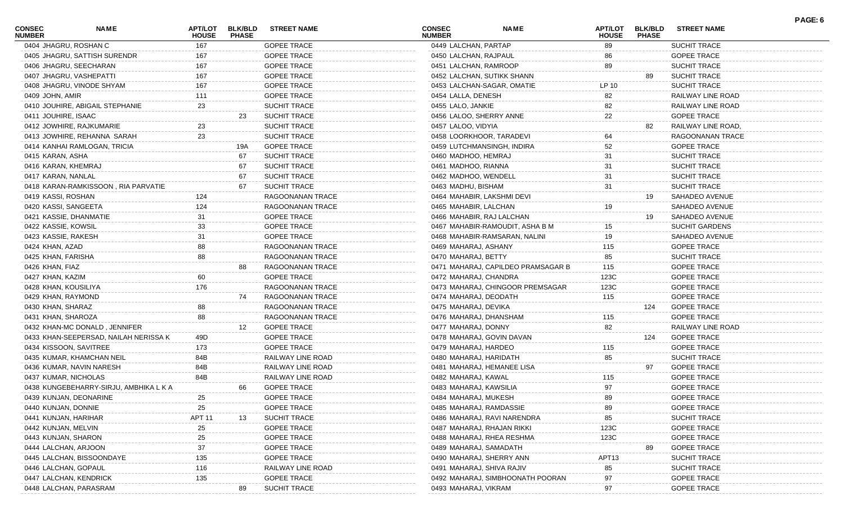| CONSEC<br><b>NUMBER</b> | <b>NAME</b>                            | <b>HOUSE</b> | APT/LOT BLK/BLD<br><b>PHASE</b> | <b>STREET NAME</b>  | <b>CONSEC</b><br><b>NUMBER</b> | <b>NAME</b>                        | <b>HOUSE</b>      | APT/LOT BLK/BLD<br><b>PHASE</b> | <b>STREET NAME</b>    |  |
|-------------------------|----------------------------------------|--------------|---------------------------------|---------------------|--------------------------------|------------------------------------|-------------------|---------------------------------|-----------------------|--|
|                         | 0404 JHAGRU, ROSHAN C                  | 167          |                                 | <b>GOPEE TRACE</b>  | 0449 LALCHAN, PARTAP           |                                    | 89                |                                 | SUCHIT TRACE          |  |
|                         | 0405 JHAGRU, SATTISH SURENDR           | 167          |                                 | <b>GOPEE TRACE</b>  | 0450 LALCHAN, RAJPAUL          |                                    | 86                |                                 | <b>GOPEE TRACE</b>    |  |
|                         | 0406 JHAGRU, SEECHARAN                 | 167          |                                 | <b>GOPEE TRACE</b>  | 0451 LALCHAN, RAMROOP          |                                    | 89                |                                 | <b>SUCHIT TRACE</b>   |  |
|                         | 0407 JHAGRU, VASHEPATTI                | 167          |                                 | <b>GOPEE TRACE</b>  |                                | 0452 LALCHAN, SUTIKK SHANN         |                   | 89                              | <b>SUCHIT TRACE</b>   |  |
|                         | 0408 JHAGRU, VINODE SHYAM              | 167          |                                 | <b>GOPEE TRACE</b>  |                                | 0453 LALCHAN-SAGAR, OMATIE         | LP 10             |                                 | <b>SUCHIT TRACE</b>   |  |
| 0409 JOHN, AMIR         |                                        | 111          |                                 | <b>GOPEE TRACE</b>  | 0454 LALLA, DENESH             |                                    | 82                |                                 | RAILWAY LINE ROAD     |  |
|                         | 0410 JOUHIRE, ABIGAIL STEPHANIE        | 23           |                                 | <b>SUCHIT TRACE</b> | 0455 LALO, JANKIE              |                                    | 82                |                                 | RAILWAY LINE ROAD     |  |
| 0411 JOUHIRE, ISAAC     |                                        |              | 23                              | <b>SUCHIT TRACE</b> | 0456 LALOO, SHERRY ANNE        |                                    | 22                |                                 | <b>GOPEE TRACE</b>    |  |
|                         | 0412 JOWHIRE, RAJKUMARIE               | 23           |                                 | <b>SUCHIT TRACE</b> | 0457 LALOO, VIDYIA             |                                    |                   | 82                              | RAILWAY LINE ROAD,    |  |
|                         | 0413 JOWHIRE, REHANNA SARAH            | 23           |                                 | <b>SUCHIT TRACE</b> |                                | 0458 LOORKHOOR, TARADEVI           | 64                |                                 | RAGOONANAN TRACE      |  |
|                         | 0414 KANHAI RAMLOGAN, TRICIA           |              | 19A                             | <b>GOPEE TRACE</b>  |                                | 0459 LUTCHMANSINGH, INDIRA         | 52                |                                 | <b>GOPEE TRACE</b>    |  |
| 0415 KARAN, ASHA        |                                        |              | 67                              | <b>SUCHIT TRACE</b> | 0460 MADHOO, HEMRAJ            |                                    | 31                |                                 | <b>SUCHIT TRACE</b>   |  |
| 0416 KARAN, KHEMRAJ     |                                        |              | 67                              | <b>SUCHIT TRACE</b> | 0461 MADHOO, RIANNA            |                                    | 31                |                                 | <b>SUCHIT TRACE</b>   |  |
| 0417 KARAN, NANLAL      |                                        |              | 67                              | <b>SUCHIT TRACE</b> | 0462 MADHOO, WENDELL           |                                    | 31                |                                 | SUCHIT TRACE          |  |
|                         | 0418 KARAN-RAMKISSOON, RIA PARVATIE    |              | 67                              | <b>SUCHIT TRACE</b> | 0463 MADHU, BISHAM             |                                    | 31                |                                 | SUCHIT TRACE          |  |
| 0419 KASSI, ROSHAN      |                                        | 124          |                                 | RAGOONANAN TRACE    |                                | 0464 MAHABIR, LAKSHMI DEVI         |                   | 19                              | SAHADEO AVENUE        |  |
| 0420 KASSI, SANGEETA    |                                        | 124          |                                 | RAGOONANAN TRACE    | 0465 MAHABIR, LALCHAN          |                                    | 19                |                                 | <b>SAHADEO AVENUE</b> |  |
|                         | 0421 KASSIE, DHANMATIE                 | 31           |                                 | <b>GOPEE TRACE</b>  |                                | 0466 MAHABIR, RAJ LALCHAN          |                   | 19                              | SAHADEO AVENUE        |  |
| 0422 KASSIE, KOWSIL     |                                        | 33           |                                 | <b>GOPEE TRACE</b>  |                                | 0467 MAHABIR-RAMOUDIT, ASHA B M    | 15 <sub>15</sub>  |                                 | <b>SUCHIT GARDENS</b> |  |
| 0423 KASSIE, RAKESH     |                                        | 31           |                                 | <b>GOPEE TRACE</b>  |                                | 0468 MAHABIR-RAMSARAN, NALINI      | 19                |                                 | SAHADEO AVENUE        |  |
| 0424 KHAN, AZAD         |                                        | 88           |                                 | RAGOONANAN TRACE    | 0469 MAHARAJ, ASHANY           |                                    | 115               |                                 | <b>GOPEE TRACE</b>    |  |
| 0425 KHAN, FARISHA      |                                        | 88           |                                 | RAGOONANAN TRACE    | 0470 MAHARAJ, BETTY            |                                    | 85                |                                 | <b>SUCHIT TRACE</b>   |  |
| 0426 KHAN, FIAZ         |                                        |              | 88                              | RAGOONANAN TRACE    |                                | 0471 MAHARAJ, CAPILDEO PRAMSAGAR B | 115               |                                 | <b>GOPEE TRACE</b>    |  |
| 0427 KHAN, KAZIM        |                                        | 60           |                                 | <b>GOPEE TRACE</b>  | 0472 MAHARAJ, CHANDRA          |                                    | 123C              |                                 | <b>GOPEE TRACE</b>    |  |
| 0428 KHAN, KOUSILIYA    |                                        | 176          |                                 | RAGOONANAN TRACE    |                                | 0473 MAHARAJ, CHINGOOR PREMSAGAR   | 123C              |                                 | <b>GOPEE TRACE</b>    |  |
| 0429 KHAN, RAYMOND      |                                        |              | 74                              | RAGOONANAN TRACE    | 0474 MAHARAJ, DEODATH          |                                    | 115               |                                 | <b>GOPEE TRACE</b>    |  |
| 0430 KHAN, SHARAZ       |                                        | 88           |                                 | RAGOONANAN TRACE    | 0475 MAHARAJ, DEVIKA           |                                    |                   | 124                             | <b>GOPEE TRACE</b>    |  |
| 0431 KHAN, SHAROZA      |                                        | 88           |                                 | RAGOONANAN TRACE    | 0476 MAHARAJ, DHANSHAM         |                                    | 115               |                                 | <b>GOPEE TRACE</b>    |  |
|                         | 0432 KHAN-MC DONALD, JENNIFER          |              | 12                              | <b>GOPEE TRACE</b>  | 0477 MAHARAJ, DONNY            |                                    | 82                |                                 | RAILWAY LINE ROAD     |  |
|                         | 0433 KHAN-SEEPERSAD, NAILAH NERISSA K  | 49D          |                                 | <b>GOPEE TRACE</b>  |                                | 0478 MAHARAJ, GOVIN DAVAN          |                   | 124                             | <b>GOPEE TRACE</b>    |  |
|                         | 0434 KISSOON, SAVITREE                 | 173          |                                 | <b>GOPEE TRACE</b>  | 0479 MAHARAJ, HARDEO           |                                    | 115               |                                 | <b>GOPEE TRACE</b>    |  |
|                         | 0435 KUMAR, KHAMCHAN NEIL              | 84B          |                                 | RAILWAY LINE ROAD   | 0480 MAHARAJ, HARIDATH         |                                    | 85                |                                 | SUCHIT TRACE          |  |
|                         | 0436 KUMAR, NAVIN NARESH               | 84B          |                                 | RAILWAY LINE ROAD   |                                | 0481 MAHARAJ, HEMANEE LISA         |                   | 97                              | <b>GOPEE TRACE</b>    |  |
| 0437 KUMAR, NICHOLAS    |                                        | 84B          |                                 | RAILWAY LINE ROAD   | 0482 MAHARAJ, KAWAL            |                                    | 115               |                                 | <b>GOPEE TRACE</b>    |  |
|                         | 0438 KUNGEBEHARRY-SIRJU, AMBHIKA L K A |              | 66                              | <b>GOPEE TRACE</b>  | 0483 MAHARAJ, KAWSILIA         |                                    | 97                |                                 | <b>GOPEE TRACE</b>    |  |
|                         | 0439 KUNJAN, DEONARINE                 |              |                                 | <b>GOPEE TRACE</b>  | 0484 MAHARAJ, MUKESH           |                                    | 89                |                                 | GOPEE TRACE           |  |
| 0440 KUNJAN, DONNIE     |                                        | 25           |                                 | <b>GOPEE TRACE</b>  | 0485 MAHARAJ, RAMDASSIE        |                                    | 89                |                                 | <b>GOPEE TRACE</b>    |  |
| 0441 KUNJAN, HARIHAR    |                                        | APT 11       | 13                              | <b>SUCHIT TRACE</b> |                                | 0486 MAHARAJ, RAVI NARENDRA        | 85                |                                 | <b>SUCHIT TRACE</b>   |  |
| 0442 KUNJAN, MELVIN     |                                        | 25           |                                 | <b>GOPEE TRACE</b>  |                                | 0487 MAHARAJ, RHAJAN RIKKI         | 123C              |                                 | <b>GOPEE TRACE</b>    |  |
| 0443 KUNJAN, SHARON     |                                        | 25           |                                 | <b>GOPEE TRACE</b>  |                                | 0488 MAHARAJ, RHEA RESHMA          | 123C              |                                 | <b>GOPEE TRACE</b>    |  |
| 0444 LALCHAN, ARJOON    |                                        | 37           |                                 | <b>GOPEE TRACE</b>  | 0489 MAHARAJ, SAMADATH         |                                    |                   |                                 | <b>GOPEE TRACE</b>    |  |
|                         | 0445 LALCHAN, BISSOONDAYE              | 135          |                                 | <b>GOPEE TRACE</b>  |                                | 0490 MAHARAJ, SHERRY ANN           | APT <sub>13</sub> |                                 | <b>SUCHIT TRACE</b>   |  |
| 0446 LALCHAN, GOPAUL    |                                        | 116          |                                 | RAILWAY LINE ROAD   | 0491 MAHARAJ, SHIVA RAJIV      |                                    | 85                |                                 | <b>SUCHIT TRACE</b>   |  |
|                         | 0447 LALCHAN, KENDRICK                 | 135          |                                 | <b>GOPEE TRACE</b>  |                                | 0492 MAHARAJ, SIMBHOONATH POORAN   | 97                |                                 | <b>GOPEE TRACE</b>    |  |
|                         | 0448 LALCHAN, PARASRAM                 |              |                                 | <b>SUCHIT TRACE</b> | 0493 MAHARAJ, VIKRAM           |                                    | 97                |                                 | <b>GOPEE TRACE</b>    |  |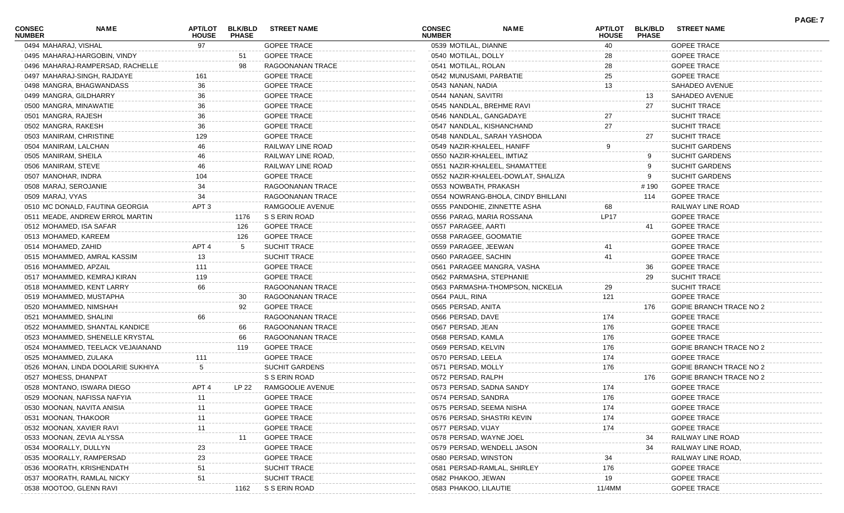| <b>CONSEC</b><br><b>NUMBER</b> | <b>NAME</b>                        | <b>HOUSE</b>     | <b>PHASE</b> | APT/LOT BLK/BLD STREET NAME | <b>CONSEC</b><br><b>NUMBER</b> | <b>NAME</b>                        | <b>HOUSE</b> | APT/LOT BLK/BLD<br><b>PHASE</b> | <b>STREET NAME</b>             |  |
|--------------------------------|------------------------------------|------------------|--------------|-----------------------------|--------------------------------|------------------------------------|--------------|---------------------------------|--------------------------------|--|
| 0494 MAHARAJ, VISHAL           |                                    | 97               |              | <b>GOPEE TRACE</b>          | 0539 MOTILAL, DIANNE           |                                    | 40           |                                 | <b>GOPEE TRACE</b>             |  |
|                                | 0495 MAHARAJ-HARGOBIN, VINDY       |                  | 51           | <b>GOPEE TRACE</b>          | 0540 MOTILAL, DOLLY            |                                    | 28           |                                 | <b>GOPEE TRACE</b>             |  |
|                                | 0496 MAHARAJ-RAMPERSAD, RACHELLE   |                  | 98           | RAGOONANAN TRACE            | 0541 MOTILAL, ROLAN            |                                    | 28           |                                 | <b>GOPEE TRACE</b>             |  |
|                                | 0497 MAHARAJ-SINGH, RAJDAYE        | 161              |              | <b>GOPEE TRACE</b>          | 0542 MUNUSAMI, PARBATIE        |                                    | 25           |                                 | <b>GOPEE TRACE</b>             |  |
|                                | 0498 MANGRA, BHAGWANDASS           | 36               |              | <b>GOPEE TRACE</b>          | 0543 NANAN, NADIA              |                                    | 13           |                                 | SAHADEO AVENUE                 |  |
|                                | 0499 MANGRA, GILDHARRY             | 36               |              | <b>GOPEE TRACE</b>          | 0544 NANAN, SAVITRI            |                                    |              | 13                              | SAHADEO AVENUE                 |  |
|                                | 0500 MANGRA, MINAWATIE             | 36               |              | <b>GOPEE TRACE</b>          |                                | 0545 NANDLAL, BREHME RAVI          |              | 27                              | SUCHIT TRACE                   |  |
| 0501 MANGRA, RAJESH            |                                    | 36               |              | <b>GOPEE TRACE</b>          |                                | 0546 NANDLAL, GANGADAYE            | $27\,$       |                                 | <b>SUCHIT TRACE</b>            |  |
| 0502 MANGRA, RAKESH            |                                    | 36               |              | <b>GOPEE TRACE</b>          |                                | 0547 NANDLAL, KISHANCHAND          | 27           |                                 | <b>SUCHIT TRACE</b>            |  |
|                                | 0503 MANIRAM, CHRISTINE            | 129              |              | <b>GOPEE TRACE</b>          |                                | 0548 NANDLAL, SARAH YASHODA        |              | 27                              | <b>SUCHIT TRACE</b>            |  |
|                                | 0504 MANIRAM, LALCHAN              |                  |              | RAILWAY LINE ROAD           |                                | 0549 NAZIR-KHALEEL, HANIFF         | 9            |                                 | <b>SUCHIT GARDENS</b>          |  |
| 0505 MANIRAM, SHEILA           |                                    |                  |              | RAILWAY LINE ROAD,          |                                | 0550 NAZIR-KHALEEL, IMTIAZ         |              | 9                               | <b>SUCHIT GARDENS</b>          |  |
| 0506 MANIRAM, STEVE            |                                    | 46               |              | RAILWAY LINE ROAD           |                                | 0551 NAZIR-KHALEEL, SHAMATTEE      |              | 9                               | <b>SUCHIT GARDENS</b>          |  |
| 0507 MANOHAR, INDRA            |                                    | 104              |              | <b>GOPEE TRACE</b>          |                                | 0552 NAZIR-KHALEEL-DOWLAT, SHALIZA |              | 9                               | <b>SUCHIT GARDENS</b>          |  |
|                                | 0508 MARAJ, SEROJANIE              |                  |              | RAGOONANAN TRACE            | 0553 NOWBATH, PRAKASH          |                                    |              | # 190                           | <b>GOPEE TRACE</b>             |  |
| 0509 MARAJ, VYAS               |                                    | 34               |              | <b>RAGOONANAN TRACE</b>     |                                | 0554 NOWRANG-BHOLA, CINDY BHILLANI |              | 114                             | <b>GOPEE TRACE</b>             |  |
|                                | 0510 MC DONALD, FAUTINA GEORGIA    | APT <sub>3</sub> |              | RAMGOOLIE AVENUE            |                                | 0555 PANDOHIE, ZINNETTE ASHA       | 68           |                                 | RAILWAY LINE ROAD              |  |
|                                | 0511 MEADE, ANDREW ERROL MARTIN    |                  | 1176         | S S ERIN ROAD               |                                | 0556 PARAG, MARIA ROSSANA          | <b>LP17</b>  |                                 | <b>GOPEE TRACE</b>             |  |
|                                | 0512 MOHAMED, ISA SAFAR            |                  | 126          | <b>GOPEE TRACE</b>          | 0557 PARAGEE, AARTI            |                                    |              | 41                              | <b>GOPEE TRACE</b>             |  |
|                                | 0513 MOHAMED, KAREEM               |                  | 126          | <b>GOPEE TRACE</b>          | 0558 PARAGEE, GOOMATIE         |                                    |              |                                 | <b>GOPEE TRACE</b>             |  |
| 0514 MOHAMED, ZAHID            |                                    | APT <sub>4</sub> | 5            | <b>SUCHIT TRACE</b>         | 0559 PARAGEE, JEEWAN           |                                    | 41           |                                 | <b>GOPEE TRACE</b>             |  |
|                                | 0515 MOHAMMED, AMRAL KASSIM        | 13               |              | <b>SUCHIT TRACE</b>         | 0560 PARAGEE, SACHIN           |                                    | 41           |                                 | <b>GOPEE TRACE</b>             |  |
|                                | 0516 MOHAMMED, APZAIL              | 111              |              | <b>GOPEE TRACE</b>          |                                | 0561 PARAGEE MANGRA, VASHA         |              | 36                              | <b>GOPEE TRACE</b>             |  |
|                                | 0517 MOHAMMED, KEMRAJ KIRAN        | 119              |              | <b>GOPEE TRACE</b>          |                                | 0562 PARMASHA, STEPHANIE           |              | 29                              | SUCHIT TRACE                   |  |
|                                | 0518 MOHAMMED, KENT LARRY          | 66               |              | RAGOONANAN TRACE            |                                | 0563 PARMASHA-THOMPSON, NICKELIA   | 29           |                                 | SUCHIT TRACE                   |  |
|                                | 0519 MOHAMMED, MUSTAPHA            |                  | 30           | RAGOONANAN TRACE            | 0564 PAUL, RINA                |                                    | 121          |                                 | <b>GOPEE TRACE</b>             |  |
|                                | 0520 MOHAMMED, NIMSHAH             |                  | 92           | <b>GOPEE TRACE</b>          | 0565 PERSAD, ANITA             |                                    |              | 176                             | <b>GOPIE BRANCH TRACE NO 2</b> |  |
|                                | 0521 MOHAMMED, SHALINI             | 66               |              | RAGOONANAN TRACE            | 0566 PERSAD, DAVE              |                                    | 174          |                                 | <b>GOPEE TRACE</b>             |  |
|                                | 0522 MOHAMMED, SHANTAL KANDICE     |                  | 66           | RAGOONANAN TRACE            | 0567 PERSAD, JEAN              |                                    | 176          |                                 | <b>GOPEE TRACE</b>             |  |
|                                | 0523 MOHAMMED, SHENELLE KRYSTAL    |                  | 66           | RAGOONANAN TRACE            | 0568 PERSAD, KAMLA             |                                    | 176          |                                 | <b>GOPEE TRACE</b>             |  |
|                                | 0524 MOHAMMED, TEELACK VEJAIANAND  |                  | 119          | <b>GOPEE TRACE</b>          | 0569 PERSAD, KELVIN            |                                    | 176          |                                 | <b>GOPIE BRANCH TRACE NO 2</b> |  |
|                                | 0525 MOHAMMED, ZULAKA              | 111              |              | <b>GOPEE TRACE</b>          | 0570 PERSAD, LEELA             |                                    | 174          |                                 | <b>GOPEE TRACE</b>             |  |
|                                | 0526 MOHAN, LINDA DOOLARIE SUKHIYA |                  |              | <b>SUCHIT GARDENS</b>       | 0571 PERSAD, MOLLY             |                                    | 176          |                                 | GOPIE BRANCH TRACE NO 2        |  |
|                                | 0527 MOHESS, DHANPAT               |                  |              | S S ERIN ROAD               | 0572 PERSAD, RALPH             |                                    |              | 176                             | GOPIE BRANCH TRACE NO 2        |  |
|                                | 0528 MONTANO, ISWARA DIEGO         | APT <sub>4</sub> | LP 22        | RAMGOOLIE AVENUE            |                                | 0573 PERSAD, SADNA SANDY           | 174          |                                 | <b>GOPEE TRACE</b>             |  |
|                                | 0529 MOONAN, NAFISSA NAFYIA        | 11               |              | GOPEE TRACE                 | 0574 PERSAD, SANDRA            |                                    | 176          |                                 | <b>GOPEE TRACE</b>             |  |
|                                | 0530 MOONAN, NAVITA ANISIA         |                  |              | <b>GOPEE TRACE</b>          |                                | 0575 PERSAD, SEEMA NISHA           | 174          |                                 | <b>GOPEE TRACE</b>             |  |
|                                | 0531 MOONAN, THAKOOR               |                  |              | <b>GOPEE TRACE</b>          |                                | 0576 PERSAD, SHASTRI KEVIN         | 174          |                                 | <b>GOPEE TRACE</b>             |  |
|                                | 0532 MOONAN, XAVIER RAVI           |                  |              | <b>GOPEE TRACE</b>          | 0577 PERSAD, VIJAY             |                                    | 174          |                                 | <b>GOPEE TRACE</b>             |  |
|                                | 0533 MOONAN, ZEVIA ALYSSA          |                  |              | <b>GOPEE TRACE</b>          | 0578 PERSAD, WAYNE JOEL        |                                    |              | 34                              | RAILWAY LINE ROAD              |  |
|                                | 0534 MOORALLY, DULLYN              |                  |              | <b>GOPEE TRACE</b>          |                                | 0579 PERSAD, WENDELL JASON         |              | 34                              | RAILWAY LINE ROAD,             |  |
|                                | 0535 MOORALLY, RAMPERSAD           |                  |              | <b>GOPEE TRACE</b>          | 0580 PERSAD, WINSTON           |                                    | 34           |                                 | RAILWAY LINE ROAD,             |  |
|                                | 0536 MOORATH, KRISHENDATH          |                  |              | <b>SUCHIT TRACE</b>         |                                | 0581 PERSAD-RAMLAL, SHIRLEY        | 176          |                                 | <b>GOPEE TRACE</b>             |  |
|                                | 0537 MOORATH, RAMLAL NICKY         | 51               |              | <b>SUCHIT TRACE</b>         | 0582 PHAKOO, JEWAN             |                                    | 19           |                                 | <b>GOPEE TRACE</b>             |  |
|                                | 0538 MOOTOO, GLENN RAVI            |                  | 1162         | S S ERIN ROAD               | 0583 PHAKOO, LILAUTIE          |                                    | 11/4MM       |                                 | <b>GOPEE TRACE</b>             |  |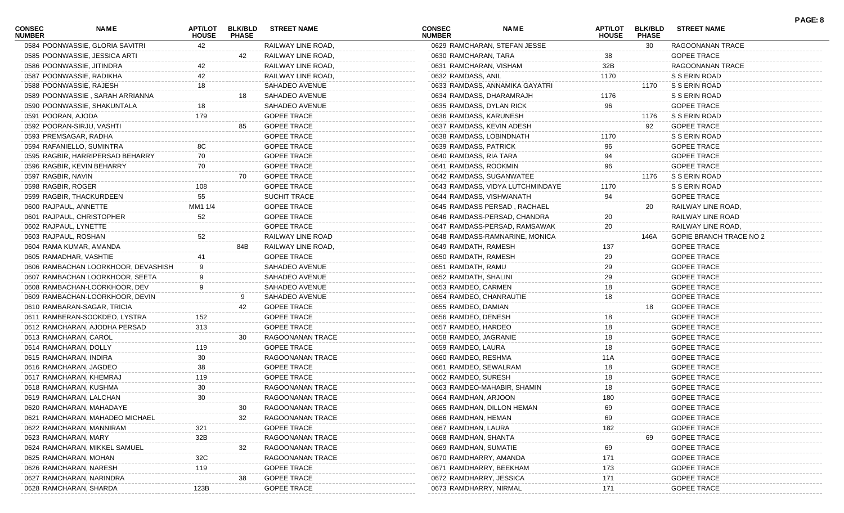| <b>CONSEC</b><br><b>NUMBER</b> | NAME                                | <b>APT/LOT</b><br><b>HOUSE</b> | <b>BLK/BLD</b><br><b>PHASE</b> | <b>STREET NAME</b>  | <b>CONSEC</b><br><b>NUMBER</b> | <b>NAME</b>                      | <b>APT/LOT</b><br><b>HOUSE</b> | <b>BLK/BLD</b><br><b>PHASE</b> | <b>STREET NAME</b>             | PAGE: 8 |
|--------------------------------|-------------------------------------|--------------------------------|--------------------------------|---------------------|--------------------------------|----------------------------------|--------------------------------|--------------------------------|--------------------------------|---------|
|                                | 0584 POONWASSIE, GLORIA SAVITRI     | 42                             |                                | RAILWAY LINE ROAD,  |                                | 0629 RAMCHARAN, STEFAN JESSE     |                                | 30                             | RAGOONANAN TRACE               |         |
|                                | 0585 POONWASSIE, JESSICA ARTI       |                                | 42                             | RAILWAY LINE ROAD,  | 0630 RAMCHARAN, TARA           |                                  | 38                             |                                | <b>GOPEE TRACE</b>             |         |
|                                | 0586 POONWASSIE, JITINDRA           | 42                             |                                | RAILWAY LINE ROAD,  | 0631 RAMCHARAN, VISHAM         |                                  | 32B                            |                                | RAGOONANAN TRACE               |         |
|                                | 0587 POONWASSIE, RADIKHA            | 42                             |                                | RAILWAY LINE ROAD,  | 0632 RAMDASS, ANIL             |                                  | 1170                           |                                | S S ERIN ROAD                  |         |
| 0588 POONWASSIE, RAJESH        |                                     | 18                             |                                | SAHADEO AVENUE      |                                | 0633 RAMDASS, ANNAMIKA GAYATRI   |                                | 1170                           | S S ERIN ROAD                  |         |
|                                | 0589 POONWASSIE, SARAH ARRIANNA     |                                | 18.                            | SAHADEO AVENUE      | 0634 RAMDASS, DHARAMRAJH       |                                  | 1176                           |                                | S S ERIN ROAD                  |         |
|                                | 0590 POONWASSIE, SHAKUNTALA         | 18                             |                                | SAHADEO AVENUE      | 0635 RAMDASS, DYLAN RICK       |                                  | 96                             |                                | <b>GOPEE TRACE</b>             |         |
| 0591 POORAN, AJODA             |                                     | 179                            |                                | <b>GOPEE TRACE</b>  | 0636 RAMDASS, KARUNESH         |                                  |                                | 1176                           | S S ERIN ROAD                  |         |
|                                | 0592 POORAN-SIRJU, VASHTI           |                                | 85                             | <b>GOPEE TRACE</b>  | 0637 RAMDASS, KEVIN ADESH      |                                  |                                | 92                             | <b>GOPEE TRACE</b>             |         |
| 0593 PREMSAGAR, RADHA          |                                     |                                |                                | <b>GOPEE TRACE</b>  | 0638 RAMDASS, LOBINDNATH       |                                  | 1170                           |                                | S S ERIN ROAD                  |         |
|                                | 0594 RAFANIELLO, SUMINTRA           | 8С                             |                                | <b>GOPEE TRACE</b>  | 0639 RAMDASS, PATRICK          |                                  | 96                             |                                | <b>GOPEE TRACE</b>             |         |
|                                | 0595 RAGBIR, HARRIPERSAD BEHARRY    | 70                             |                                | <b>GOPEE TRACE</b>  | 0640 RAMDASS, RIA TARA         |                                  | 94                             |                                | <b>GOPEE TRACE</b>             |         |
|                                | 0596 RAGBIR, KEVIN BEHARRY          | 70                             |                                | <b>GOPEE TRACE</b>  | 0641 RAMDASS, ROOKMIN          |                                  | 96                             |                                | <b>GOPEE TRACE</b>             |         |
| 0597 RAGBIR, NAVIN             |                                     |                                | 70                             | <b>GOPEE TRACE</b>  | 0642 RAMDASS, SUGANWATEE       |                                  |                                | 1176                           | S S ERIN ROAD                  |         |
| 0598 RAGBIR, ROGER             |                                     | 108                            |                                | <b>GOPEE TRACE</b>  |                                | 0643 RAMDASS, VIDYA LUTCHMINDAYE | 1170                           |                                | S S ERIN ROAD                  |         |
|                                | 0599 RAGBIR, THACKURDEEN            | 55                             |                                | <b>SUCHIT TRACE</b> | 0644 RAMDASS, VISHWANATH       |                                  | 94                             |                                | <b>GOPEE TRACE</b>             |         |
| 0600 RAJPAUL, ANNETTE          |                                     | MM1 1/4                        |                                | <b>GOPEE TRACE</b>  |                                | 0645 RAMDASS PERSAD, RACHAEL     |                                | 20                             | RAILWAY LINE ROAD,             |         |
|                                | 0601 RAJPAUL, CHRISTOPHER           | 52                             |                                | <b>GOPEE TRACE</b>  |                                | 0646 RAMDASS-PERSAD, CHANDRA     | 20                             |                                | RAILWAY LINE ROAD              |         |
| 0602 RAJPAUL, LYNETTE          |                                     |                                |                                | <b>GOPEE TRACE</b>  |                                | 0647 RAMDASS-PERSAD, RAMSAWAK    | 20                             |                                | RAILWAY LINE ROAD,             |         |
| 0603 RAJPAUL, ROSHAN           |                                     | 52                             |                                | RAILWAY LINE ROAD   |                                | 0648 RAMDASS-RAMNARINE, MONICA   |                                | 146A                           | <b>GOPIE BRANCH TRACE NO 2</b> |         |
|                                | 0604 RAMA KUMAR, AMANDA             |                                | 84B                            | RAILWAY LINE ROAD,  | 0649 RAMDATH, RAMESH           |                                  | 137                            |                                | <b>GOPEE TRACE</b>             |         |
| 0605 RAMADHAR, VASHTIE         |                                     |                                |                                | <b>GOPEE TRACE</b>  | 0650 RAMDATH, RAMESH           |                                  | 29                             |                                | <b>GOPEE TRACE</b>             |         |
|                                | 0606 RAMBACHAN LOORKHOOR, DEVASHISH |                                |                                | SAHADEO AVENUE      | 0651 RAMDATH, RAMU             |                                  | 29                             |                                | <b>GOPEE TRACE</b>             |         |
|                                | 0607 RAMBACHAN LOORKHOOR, SEETA     |                                |                                | SAHADEO AVENUE      | 0652 RAMDATH, SHALINI          |                                  | 29                             |                                | <b>GOPEE TRACE</b>             |         |
|                                |                                     |                                |                                |                     |                                |                                  |                                |                                |                                |         |
|                                | 0608 RAMBACHAN-LOORKHOOR, DEV       |                                |                                | SAHADEO AVENUE      | 0653 RAMDEO, CARMEN            |                                  | 18                             |                                | <b>GOPEE TRACE</b>             |         |
|                                | 0609 RAMBACHAN-LOORKHOOR, DEVIN     |                                | 9                              | SAHADEO AVENUE      | 0654 RAMDEO, CHANRAUTIE        |                                  | 18                             |                                | <b>GOPEE TRACE</b>             |         |
|                                | 0610 RAMBARAN-SAGAR, TRICIA         |                                | 42                             | <b>GOPEE TRACE</b>  | 0655 RAMDEO, DAMIAN            |                                  |                                | 18                             | <b>GOPEE TRACE</b>             |         |
|                                | 0611 RAMBERAN-SOOKDEO, LYSTRA       | 152                            |                                | <b>GOPEE TRACE</b>  | 0656 RAMDEO, DENESH            |                                  | 18                             |                                | <b>GOPEE TRACE</b>             |         |
|                                | 0612 RAMCHARAN, AJODHA PERSAD       | 313                            |                                | <b>GOPEE TRACE</b>  | 0657 RAMDEO, HARDEO            |                                  | 18                             |                                | <b>GOPEE TRACE</b>             |         |
| 0613 RAMCHARAN, CAROL          |                                     |                                | 30                             | RAGOONANAN TRACE    | 0658 RAMDEO, JAGRANIE          |                                  | 18                             |                                | <b>GOPEE TRACE</b>             |         |
| 0614 RAMCHARAN, DOLLY          |                                     | 119                            |                                | <b>GOPEE TRACE</b>  | 0659 RAMDEO, LAURA             |                                  | 18                             |                                | <b>GOPEE TRACE</b>             |         |
| 0615 RAMCHARAN, INDIRA         |                                     | 30                             |                                | RAGOONANAN TRACE    | 0660 RAMDEO, RESHMA            |                                  | 11A                            |                                | <b>GOPEE TRACE</b>             |         |
| 0616 RAMCHARAN, JAGDEO         |                                     | 38                             |                                | <b>GOPEE TRACE</b>  | 0661 RAMDEO, SEWALRAM          |                                  | 18                             |                                | <b>GOPEE TRACE</b>             |         |
|                                | 0617 RAMCHARAN, KHEMRAJ             | 119                            |                                | <b>GOPEE TRACE</b>  | 0662 RAMDEO, SURESH            |                                  | 18                             |                                | <b>GOPEE TRACE</b>             |         |
| 0618 RAMCHARAN, KUSHMA         |                                     | 30                             |                                | RAGOONANAN TRACE    |                                | 0663 RAMDEO-MAHABIR, SHAMIN      | 18                             |                                | <b>GOPEE TRACE</b>             |         |
|                                | 0619 RAMCHARAN, LALCHAN             | 30                             |                                | RAGOONANAN TRACE    | 0664 RAMDHAN, ARJOON           |                                  | 180                            |                                | <b>GOPEE TRACE</b>             |         |
|                                | 0620 RAMCHARAN, MAHADAYE            |                                | 30                             | RAGOONANAN TRACE    | 0665 RAMDHAN, DILLON HEMAN     |                                  | 69                             |                                | <b>GOPEE TRACE</b>             |         |
|                                | 0621 RAMCHARAN, MAHADEO MICHAEL     |                                | 32                             | RAGOONANAN TRACE    | 0666 RAMDHAN, HEMAN            |                                  | 69                             |                                | <b>GOPEE TRACE</b>             |         |
|                                | 0622 RAMCHARAN, MANNIRAM            | 321                            |                                | <b>GOPEE TRACE</b>  | 0667 RAMDHAN, LAURA            |                                  | 182                            |                                | <b>GOPEE TRACE</b>             |         |
| 0623 RAMCHARAN, MARY           |                                     | 32B                            |                                | RAGOONANAN TRACE    | 0668 RAMDHAN, SHANTA           |                                  |                                | 69                             | <b>GOPEE TRACE</b>             |         |
|                                | 0624 RAMCHARAN, MIKKEL SAMUEL       |                                | 32                             | RAGOONANAN TRACE    | 0669 RAMDHAN, SUMATIE          |                                  | 69                             |                                | <b>GOPEE TRACE</b>             |         |
| 0625 RAMCHARAN, MOHAN          |                                     | 32C                            |                                | RAGOONANAN TRACE    | 0670 RAMDHARRY, AMANDA         |                                  | 171                            |                                | <b>GOPEE TRACE</b>             |         |
| 0626 RAMCHARAN, NARESH         |                                     | 119                            |                                | <b>GOPEE TRACE</b>  | 0671 RAMDHARRY, BEEKHAM        |                                  | 173                            |                                | <b>GOPEE TRACE</b>             |         |
|                                | 0627 RAMCHARAN, NARINDRA            |                                | 38                             | <b>GOPEE TRACE</b>  | 0672 RAMDHARRY, JESSICA        |                                  | 171                            |                                | <b>GOPEE TRACE</b>             |         |
| 0628 RAMCHARAN, SHARDA         |                                     | 123B                           |                                | <b>GOPEE TRACE</b>  | 0673 RAMDHARRY, NIRMAL         |                                  | 171                            |                                | <b>GOPEE TRACE</b>             |         |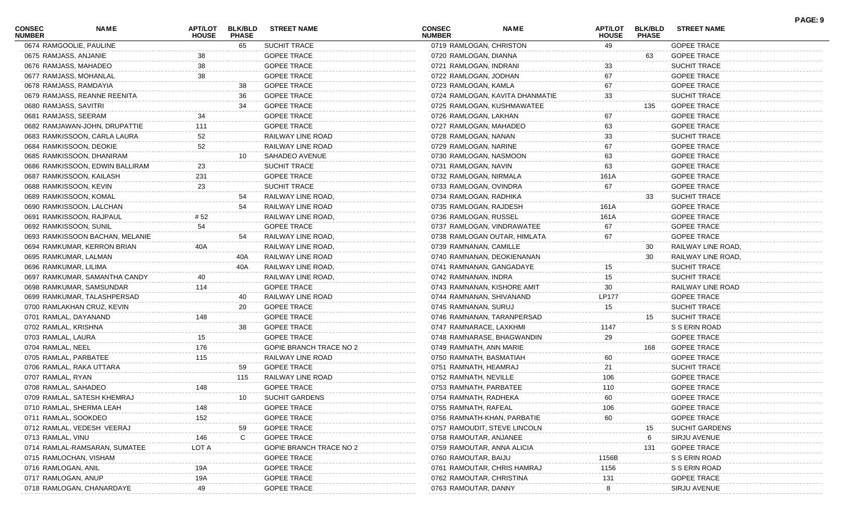| <b>CONSEC</b><br><b>NUMBER</b> | <b>NAME</b>                     | <b>APT/LOT</b><br><b>HOUSE</b> | <b>BLK/BLD</b><br><b>PHASE</b> | <b>STREET NAME</b>      | <b>CONSEC</b><br><b>NUMBER</b> | NAME                            | APT/LOT<br><b>HOUSE</b> | <b>BLK/BLD</b><br><b>PHASE</b> | <b>STREET NAME</b>    | PAGE: 9 |
|--------------------------------|---------------------------------|--------------------------------|--------------------------------|-------------------------|--------------------------------|---------------------------------|-------------------------|--------------------------------|-----------------------|---------|
|                                | 0674 RAMGOOLIE, PAULINE         |                                | 65                             | SUCHIT TRACE            | 0719 RAMLOGAN, CHRISTON        |                                 | 49                      |                                | <b>GOPEE TRACE</b>    |         |
| 0675 RAMJASS, ANJANIE          |                                 | 38                             |                                | <b>GOPEE TRACE</b>      | 0720 RAMLOGAN, DIANNA          |                                 |                         | 63                             | <b>GOPEE TRACE</b>    |         |
| 0676 RAMJASS, MAHADEO          |                                 | 38                             |                                | <b>GOPEE TRACE</b>      | 0721 RAMLOGAN, INDRANI         |                                 | 33                      |                                | <b>SUCHIT TRACE</b>   |         |
|                                | 0677 RAMJASS, MOHANLAL          | 38                             |                                | <b>GOPEE TRACE</b>      | 0722 RAMLOGAN, JODHAN          |                                 | 67                      |                                | <b>GOPEE TRACE</b>    |         |
| 0678 RAMJASS, RAMDAYIA         |                                 |                                | 38                             | <b>GOPEE TRACE</b>      | 0723 RAMLOGAN, KAMLA           |                                 | 67                      |                                | <b>GOPEE TRACE</b>    |         |
|                                | 0679 RAMJASS, REANNE REENITA    |                                | 36                             | <b>GOPEE TRACE</b>      |                                | 0724 RAMLOGAN, KAVITA DHANMATIE | 33                      |                                | <b>SUCHIT TRACE</b>   |         |
| 0680 RAMJASS, SAVITRI          |                                 |                                | 34                             | <b>GOPEE TRACE</b>      |                                | 0725 RAMLOGAN, KUSHMAWATEE      |                         | 135                            | <b>GOPEE TRACE</b>    |         |
| 0681 RAMJASS, SEERAM           |                                 | 34                             |                                | <b>GOPEE TRACE</b>      | 0726 RAMLOGAN, LAKHAN          |                                 | 67                      |                                | <b>GOPEE TRACE</b>    |         |
|                                | 0682 RAMJAWAN-JOHN, DRUPATTIE   | 111                            |                                | <b>GOPEE TRACE</b>      | 0727 RAMLOGAN, MAHADEO         |                                 | 63                      |                                | <b>GOPEE TRACE</b>    |         |
|                                | 0683 RAMKISSOON, CARLA LAURA    | 52                             |                                | RAILWAY LINE ROAD       | 0728 RAMLOGAN, NANAN           |                                 | 33                      |                                | <b>SUCHIT TRACE</b>   |         |
|                                | 0684 RAMKISSOON, DEOKIE         | 52                             |                                | RAILWAY LINE ROAD       | 0729 RAMLOGAN, NARINE          |                                 | 67                      |                                | <b>GOPEE TRACE</b>    |         |
|                                | 0685 RAMKISSOON, DHANIRAM       |                                | 10                             | SAHADEO AVENUE          | 0730 RAMLOGAN, NASMOON         |                                 | 63                      |                                | <b>GOPEE TRACE</b>    |         |
|                                | 0686 RAMKISSOON, EDWIN BALLIRAM | 23                             |                                | <b>SUCHIT TRACE</b>     | 0731 RAMLOGAN, NAVIN           |                                 | 63                      |                                | <b>GOPEE TRACE</b>    |         |
|                                | 0687 RAMKISSOON, KAILASH        | 231                            |                                | <b>GOPEE TRACE</b>      | 0732 RAMLOGAN, NIRMALA         |                                 | 161A                    |                                | <b>GOPEE TRACE</b>    |         |
| 0688 RAMKISSOON, KEVIN         |                                 | 23                             |                                | <b>SUCHIT TRACE</b>     | 0733 RAMLOGAN, OVINDRA         |                                 | 67                      |                                | <b>GOPEE TRACE</b>    |         |
|                                | 0689 RAMKISSOON, KOMAL          |                                | 54                             | RAILWAY LINE ROAD,      | 0734 RAMLOGAN, RADHIKA         |                                 |                         | 33                             | <b>SUCHIT TRACE</b>   |         |
|                                | 0690 RAMKISSOON, LALCHAN        |                                | 54                             | RAILWAY LINE ROAD       | 0735 RAMLOGAN, RAJDESH         |                                 | 161A                    |                                | <b>GOPEE TRACE</b>    |         |
|                                | 0691 RAMKISSOON, RAJPAUL        | # 52                           |                                | RAILWAY LINE ROAD,      | 0736 RAMLOGAN, RUSSEL          |                                 | 161A                    |                                | <b>GOPEE TRACE</b>    |         |
| 0692 RAMKISSOON, SUNIL         |                                 | 54                             |                                | <b>GOPEE TRACE</b>      |                                | 0737 RAMLOGAN, VINDRAWATEE      | 67                      |                                | <b>GOPEE TRACE</b>    |         |
|                                | 0693 RAMKISSOON BACHAN, MELANIE |                                | 54                             | RAILWAY LINE ROAD,      |                                | 0738 RAMLOGAN OUTAR, HIMLATA    | 67                      |                                | <b>GOPEE TRACE</b>    |         |
|                                | 0694 RAMKUMAR, KERRON BRIAN     | 40A                            |                                | RAILWAY LINE ROAD,      | 0739 RAMNANAN, CAMILLE         |                                 |                         | 30                             | RAILWAY LINE ROAD,    |         |
| 0695 RAMKUMAR, LALMAN          |                                 |                                | 40A                            | RAILWAY LINE ROAD       |                                | 0740 RAMNANAN, DEOKIENANAN      |                         | 30                             | RAILWAY LINE ROAD,    |         |
| 0696 RAMKUMAR, LILIMA          |                                 |                                | 40A                            | RAILWAY LINE ROAD,      |                                | 0741 RAMNANAN, GANGADAYE        |                         |                                | <b>SUCHIT TRACE</b>   |         |
|                                | 0697 RAMKUMAR, SAMANTHA CANDY   |                                |                                | RAILWAY LINE ROAD,      | 0742 RAMNANAN, INDRA           |                                 | 15<br>15                |                                | <b>SUCHIT TRACE</b>   |         |
|                                |                                 | 114                            |                                |                         |                                |                                 | 30                      |                                | RAILWAY LINE ROAD     |         |
|                                | 0698 RAMKUMAR, SAMSUNDAR        |                                |                                | <b>GOPEE TRACE</b>      |                                | 0743 RAMNANAN, KISHORE AMIT     |                         |                                |                       |         |
|                                | 0699 RAMKUMAR, TALASHPERSAD     |                                | 40                             | RAILWAY LINE ROAD       | 0744 RAMNANAN, SHIVANAND       |                                 | <b>LP177</b>            |                                | <b>GOPEE TRACE</b>    |         |
|                                | 0700 RAMLAKHAN CRUZ, KEVIN      |                                | 20                             | <b>GOPEE TRACE</b>      | 0745 RAMNANAN, SURUJ           |                                 | 15                      |                                | <b>SUCHIT TRACE</b>   |         |
| 0701 RAMLAL, DAYANAND          |                                 | 148                            |                                | <b>GOPEE TRACE</b>      |                                | 0746 RAMNANAN, TARANPERSAD      |                         | 15                             | <b>SUCHIT TRACE</b>   |         |
| 0702 RAMLAL, KRISHNA           |                                 |                                | 38                             | <b>GOPEE TRACE</b>      | 0747 RAMNARACE, LAXKHMI        |                                 | 1147                    |                                | S S ERIN ROAD         |         |
| 0703 RAMLAL, LAURA             |                                 | 15                             |                                | <b>GOPEE TRACE</b>      |                                | 0748 RAMNARASE, BHAGWANDIN      | 29                      |                                | <b>GOPEE TRACE</b>    |         |
| 0704 RAMLAL, NEEL              |                                 | 176                            |                                | GOPIE BRANCH TRACE NO 2 | 0749 RAMNATH, ANN MARIE        |                                 |                         | 168                            | <b>GOPEE TRACE</b>    |         |
| 0705 RAMLAL, PARBATEE          |                                 | 115                            |                                | RAILWAY LINE ROAD       | 0750 RAMNATH, BASMATIAH        |                                 | 60                      |                                | <b>GOPEE TRACE</b>    |         |
|                                | 0706 RAMLAL, RAKA UTTARA        |                                | 59                             | <b>GOPEE TRACE</b>      | 0751 RAMNATH, HEAMRAJ          |                                 | 21                      |                                | <b>SUCHIT TRACE</b>   |         |
| 0707 RAMLAL, RYAN              |                                 |                                | 115                            | RAILWAY LINE ROAD       | 0752 RAMNATH, NEVILLE          |                                 | 106                     |                                | <b>GOPEE TRACE</b>    |         |
| 0708 RAMLAL, SAHADEO           |                                 | 148                            |                                | <b>GOPEE TRACE</b>      | 0753 RAMNATH, PARBATEE         |                                 | 110                     |                                | <b>GOPEE TRACE</b>    |         |
|                                | 0709 RAMLAL, SATESH KHEMRAJ     |                                | 10                             | <b>SUCHIT GARDENS</b>   | 0754 RAMNATH, RADHEKA          |                                 | 60                      |                                | <b>GOPEE TRACE</b>    |         |
|                                | 0710 RAMLAL, SHERMA LEAH        | 148                            |                                | <b>GOPEE TRACE</b>      | 0755 RAMNATH, RAFEAL           |                                 | 106                     |                                | <b>GOPEE TRACE</b>    |         |
| 0711 RAMLAL, SOOKDEO           |                                 | 152                            |                                | <b>GOPEE TRACE</b>      |                                | 0756 RAMNATH-KHAN, PARBATIE     | 60                      |                                | <b>GOPEE TRACE</b>    |         |
|                                | 0712 RAMLAL, VEDESH VEERAJ      |                                | 59                             | <b>GOPEE TRACE</b>      |                                | 0757 RAMOUDIT, STEVE LINCOLN    |                         | 15                             | <b>SUCHIT GARDENS</b> |         |
| 0713 RAMLAL, VINU              |                                 | 146                            | C                              | <b>GOPEE TRACE</b>      | 0758 RAMOUTAR, ANJANEE         |                                 |                         | 6                              | SIRJU AVENUE          |         |
|                                | 0714 RAMLAL-RAMSARAN, SUMATEE   | LOT A                          |                                | GOPIE BRANCH TRACE NO 2 |                                | 0759 RAMOUTAR, ANNA ALICIA      |                         | 131                            | <b>GOPEE TRACE</b>    |         |
|                                | 0715 RAMLOCHAN, VISHAM          |                                |                                | <b>GOPEE TRACE</b>      | 0760 RAMOUTAR, BAIJU           |                                 | 1156B                   |                                | S S ERIN ROAD         |         |
| 0716 RAMLOGAN, ANIL            |                                 | 19A                            |                                | <b>GOPEE TRACE</b>      |                                | 0761 RAMOUTAR, CHRIS HAMRAJ     | 1156                    |                                | S S ERIN ROAD         |         |
| 0717 RAMLOGAN, ANUP            |                                 | 19A                            |                                | <b>GOPEE TRACE</b>      | 0762 RAMOUTAR, CHRISTINA       |                                 | 131                     |                                | <b>GOPEE TRACE</b>    |         |
|                                | 0718 RAMLOGAN, CHANARDAYE       | 49                             |                                | <b>GOPEE TRACE</b>      | 0763 RAMOUTAR, DANNY           |                                 | 8                       |                                | SIRJU AVENUE          |         |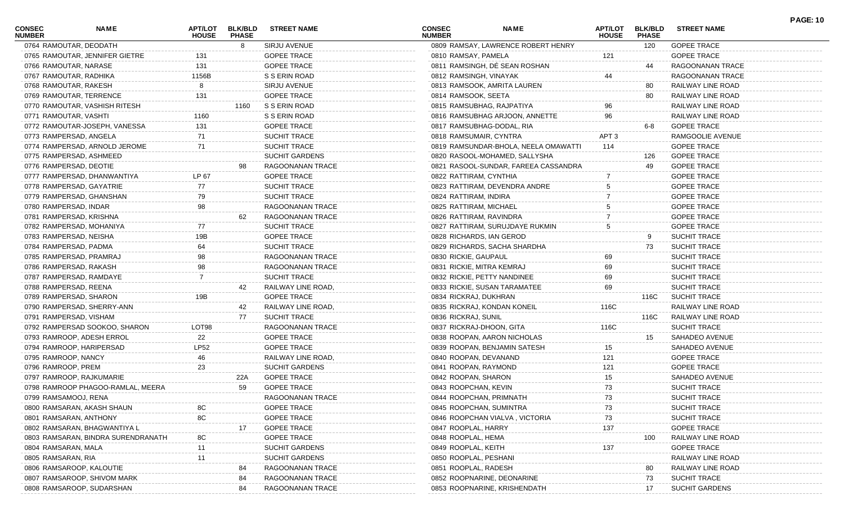| CONSEC<br><b>NUMBER</b> | <b>NAME</b>                        | <b>APT/LOT</b><br><b>HOUSE</b> | <b>BLK/BLD</b><br><b>PHASE</b> | <b>STREET NAME</b>    | <b>CONSEC</b><br><b>NUMBER</b> | <b>NAME</b>                          | <b>APT/LOT</b><br><b>HOUSE</b> | <b>BLK/BLD</b><br><b>PHASE</b> | <b>STREET NAME</b>    |
|-------------------------|------------------------------------|--------------------------------|--------------------------------|-----------------------|--------------------------------|--------------------------------------|--------------------------------|--------------------------------|-----------------------|
|                         | 0764 RAMOUTAR, DEODATH             |                                | 8                              | SIRJU AVENUE          |                                | 0809 RAMSAY, LAWRENCE ROBERT HENRY   |                                | 120                            | <b>GOPEE TRACE</b>    |
|                         | 0765 RAMOUTAR, JENNIFER GIETRE     | 131                            |                                | <b>GOPEE TRACE</b>    | 0810 RAMSAY, PAMELA            |                                      | 121                            |                                | <b>GOPEE TRACE</b>    |
|                         | 0766 RAMOUTAR, NARASE              | 131                            |                                | <b>GOPEE TRACE</b>    |                                | 0811 RAMSINGH, DÉ SEAN ROSHAN        |                                | 44                             | RAGOONANAN TRACE      |
|                         | 0767 RAMOUTAR, RADHIKA             | 1156B                          |                                | S S ERIN ROAD         |                                | 0812 RAMSINGH, VINAYAK               | 44                             |                                | RAGOONANAN TRACE      |
|                         | 0768 RAMOUTAR, RAKESH              |                                |                                | <b>SIRJU AVENUE</b>   |                                | 0813 RAMSOOK, AMRITA LAUREN          |                                | 80                             | RAILWAY LINE ROAD     |
|                         | 0769 RAMOUTAR, TERRENCE            | 131                            |                                | <b>GOPEE TRACE</b>    | 0814 RAMSOOK, SEETA            |                                      |                                | 80                             | RAILWAY LINE ROAD     |
|                         | 0770 RAMOUTAR, VASHISH RITESH      |                                | 1160                           | S S ERIN ROAD         |                                | 0815 RAMSUBHAG, RAJPATIYA            | 96                             |                                | RAILWAY LINE ROAD     |
|                         | 0771 RAMOUTAR, VASHTI              | 1160                           |                                | S S ERIN ROAD         |                                | 0816 RAMSUBHAG ARJOON, ANNETTE       | 96                             |                                | RAILWAY LINE ROAD     |
|                         | 0772 RAMOUTAR-JOSEPH, VANESSA      | 131                            |                                | <b>GOPEE TRACE</b>    |                                | 0817 RAMSUBHAG-DODAL, RIA            |                                | 6-8                            | <b>GOPEE TRACE</b>    |
|                         | 0773 RAMPERSAD, ANGELA             | 71                             |                                | <b>SUCHIT TRACE</b>   |                                | 0818 RAMSUMAIR, CYNTRA               | APT <sub>3</sub>               |                                | RAMGOOLIE AVENUE      |
|                         | 0774 RAMPERSAD, ARNOLD JEROME      | 71                             |                                | <b>SUCHIT TRACE</b>   |                                | 0819 RAMSUNDAR-BHOLA, NEELA OMAWATTI | 114                            |                                | <b>GOPEE TRACE</b>    |
|                         | 0775 RAMPERSAD, ASHMEED            |                                |                                | <b>SUCHIT GARDENS</b> |                                | 0820 RASOOL-MOHAMED, SALLYSHA        |                                | 126                            | <b>GOPEE TRACE</b>    |
|                         | 0776 RAMPERSAD, DEOTIE             |                                |                                | RAGOONANAN TRACE      |                                | 0821 RASOOL-SUNDAR, FAREEA CASSANDRA |                                | 49                             | <b>GOPEE TRACE</b>    |
|                         | 0777 RAMPERSAD, DHANWANTIYA        | LP 67                          |                                | <b>GOPEE TRACE</b>    |                                | 0822 RATTIRAM, CYNTHIA               |                                |                                | <b>GOPEE TRACE</b>    |
|                         | 0778 RAMPERSAD, GAYATRIE           | 77                             |                                | <b>SUCHIT TRACE</b>   |                                | 0823 RATTIRAM, DEVENDRA ANDRE        |                                |                                | <b>GOPEE TRACE</b>    |
|                         | 0779 RAMPERSAD, GHANSHAN           | 79                             |                                | <b>SUCHIT TRACE</b>   | 0824 RATTIRAM, INDIRA          |                                      |                                |                                | <b>GOPEE TRACE</b>    |
|                         | 0780 RAMPERSAD, INDAR              | 98                             |                                | RAGOONANAN TRACE      |                                | 0825 RATTIRAM, MICHAEL               |                                |                                | <b>GOPEE TRACE</b>    |
|                         | 0781 RAMPERSAD, KRISHNA            |                                | 62                             | RAGOONANAN TRACE      |                                | 0826 RATTIRAM, RAVINDRA              |                                |                                | <b>GOPEE TRACE</b>    |
|                         | 0782 RAMPERSAD, MOHANIYA           | 77                             |                                | <b>SUCHIT TRACE</b>   |                                | 0827 RATTIRAM, SURUJDAYE RUKMIN      | 5                              |                                | <b>GOPEE TRACE</b>    |
|                         | 0783 RAMPERSAD, NEISHA             | 19B                            |                                | <b>GOPEE TRACE</b>    |                                | 0828 RICHARDS, IAN GEROD             |                                | 9                              | <b>SUCHIT TRACE</b>   |
|                         | 0784 RAMPERSAD, PADMA              | 64                             |                                | <b>SUCHIT TRACE</b>   |                                | 0829 RICHARDS, SACHA SHARDHA         |                                | 73                             | <b>SUCHIT TRACE</b>   |
|                         | 0785 RAMPERSAD, PRAMRAJ            | 98                             |                                | RAGOONANAN TRACE      | 0830 RICKIE, GAUPAUL           |                                      | 69                             |                                | <b>SUCHIT TRACE</b>   |
|                         | 0786 RAMPERSAD, RAKASH             | 98                             |                                | RAGOONANAN TRACE      |                                | 0831 RICKIE, MITRA KEMRAJ            | 69                             |                                | <b>SUCHIT TRACE</b>   |
|                         | 0787 RAMPERSAD, RAMDAYE            |                                |                                | <b>SUCHIT TRACE</b>   |                                | 0832 RICKIE, PETTY NANDINEE          | 69                             |                                | <b>SUCHIT TRACE</b>   |
|                         | 0788 RAMPERSAD, REENA              |                                | 42                             | RAILWAY LINE ROAD,    |                                | 0833 RICKIE, SUSAN TARAMATEE         | 69                             |                                | <b>SUCHIT TRACE</b>   |
|                         | 0789 RAMPERSAD, SHARON             | 19B                            |                                | <b>GOPEE TRACE</b>    | 0834 RICKRAJ, DUKHRAN          |                                      |                                | 116C                           | <b>SUCHIT TRACE</b>   |
|                         | 0790 RAMPERSAD, SHERRY-ANN         |                                | 42                             | RAILWAY LINE ROAD,    |                                | 0835 RICKRAJ, KONDAN KONEIL          | 116C                           |                                | RAILWAY LINE ROAD     |
|                         | 0791 RAMPERSAD, VISHAM             |                                | 77                             | <b>SUCHIT TRACE</b>   | 0836 RICKRAJ, SUNIL            |                                      |                                | 116C                           | RAILWAY LINE ROAD     |
|                         | 0792 RAMPERSAD SOOKOO, SHARON      | LOT98                          |                                | RAGOONANAN TRACE      |                                | 0837 RICKRAJ-DHOON, GITA             | 116C                           |                                | SUCHIT TRACE          |
|                         | 0793 RAMROOP, ADESH ERROL          | 22                             |                                | <b>GOPEE TRACE</b>    |                                | 0838 ROOPAN, AARON NICHOLAS          |                                | 15                             | SAHADEO AVENUE        |
|                         | 0794 RAMROOP, HARIPERSAD           | <b>LP52</b>                    |                                | <b>GOPEE TRACE</b>    |                                | 0839 ROOPAN, BENJAMIN SATESH         | 15                             |                                | SAHADEO AVENUE        |
|                         | 0795 RAMROOP, NANCY                | 46                             |                                | RAILWAY LINE ROAD,    |                                | 0840 ROOPAN, DEVANAND                | 121                            |                                | <b>GOPEE TRACE</b>    |
|                         | 0796 RAMROOP, PREM                 | 23                             |                                | SUCHIT GARDENS        |                                | 0841 ROOPAN, RAYMOND                 | 121                            |                                | <b>GOPEE TRACE</b>    |
|                         | 0797 RAMROOP, RAJKUMARIE           |                                | 22A                            | <b>GOPEE TRACE</b>    | 0842 ROOPAN, SHARON            |                                      | 15                             |                                | SAHADEO AVENUE        |
|                         | 0798 RAMROOP PHAGOO-RAMLAL, MEERA  |                                | 59                             | <b>GOPEE TRACE</b>    | 0843 ROOPCHAN, KEVIN           |                                      | 73                             |                                | SUCHIT TRACE          |
|                         | 0799 RAMSAMOOJ, RENA               |                                |                                | RAGOONANAN TRACE      |                                | 0844 ROOPCHAN, PRIMNATH              | 73                             |                                | SUCHIT TRACE          |
|                         | 0800 RAMSARAN, AKASH SHAUN         |                                |                                | <b>GOPEE TRACE</b>    |                                | 0845 ROOPCHAN, SUMINTRA              | 73                             |                                | SUCHIT TRACE          |
|                         | 0801 RAMSARAN, ANTHONY             | 8C                             |                                | <b>GOPEE TRACE</b>    |                                | 0846 ROOPCHAN VIALVA, VICTORIA       | 73                             |                                | <b>SUCHIT TRACE</b>   |
|                         | 0802 RAMSARAN, BHAGWANTIYA L       |                                |                                | <b>GOPEE TRACE</b>    | 0847 ROOPLAL, HARRY            |                                      | 137                            |                                | <b>GOPEE TRACE</b>    |
|                         | 0803 RAMSARAN, BINDRA SURENDRANATH | 8C                             |                                | <b>GOPEE TRACE</b>    | 0848 ROOPLAL, HEMA             |                                      |                                | 100                            | RAILWAY LINE ROAD     |
|                         | 0804 RAMSARAN, MALA                | 11                             |                                | <b>SUCHIT GARDENS</b> | 0849 ROOPLAL, KEITH            |                                      | 137                            |                                | <b>GOPEE TRACE</b>    |
| 0805 RAMSARAN, RIA      |                                    | 11                             |                                | <b>SUCHIT GARDENS</b> | 0850 ROOPLAL, PESHANI          |                                      |                                |                                | RAILWAY LINE ROAD     |
|                         | 0806 RAMSAROOP, KALOUTIE           |                                | 84                             | RAGOONANAN TRACE      | 0851 ROOPLAL, RADESH           |                                      |                                | 80                             | RAILWAY LINE ROAD     |
|                         | 0807 RAMSAROOP, SHIVOM MARK        |                                | 84                             | RAGOONANAN TRACE      |                                | 0852 ROOPNARINE, DEONARINE           |                                | 73                             | <b>SUCHIT TRACE</b>   |
|                         | 0808 RAMSAROOP, SUDARSHAN          |                                | 84                             | RAGOONANAN TRACE      |                                | 0853 ROOPNARINE, KRISHENDATH         |                                | 17                             | <b>SUCHIT GARDENS</b> |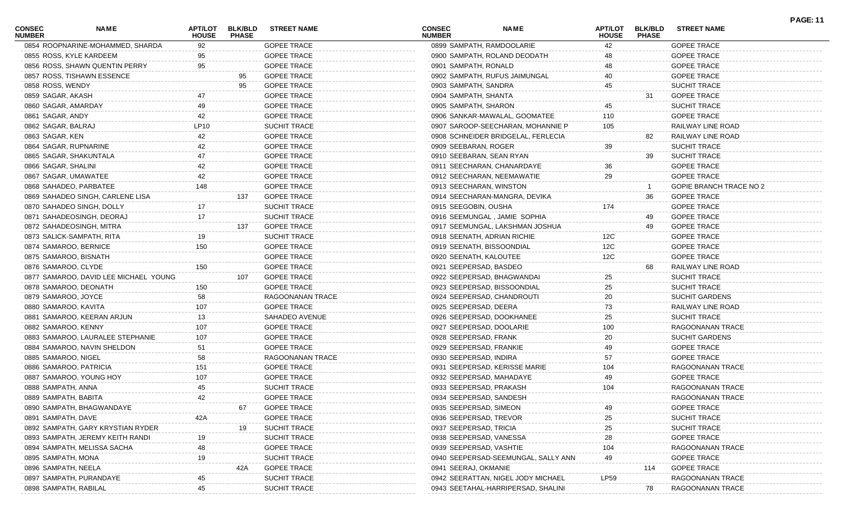| <b>CONSEC</b><br><b>NUMBER</b> | <b>NAME</b>                           | APT/LOT<br><b>HOUSE</b> | <b>BLK/BLD</b><br><b>PHASE</b> | <b>STREET NAME</b>  | <b>CONSEC</b><br><b>NUMBER</b> | <b>NAME</b>                         | APT/LOT<br><b>HOUSE</b> | <b>BLK/BLD</b><br><b>PHASE</b> | <b>STREET NAME</b>             | <b>PAGE: 11</b> |
|--------------------------------|---------------------------------------|-------------------------|--------------------------------|---------------------|--------------------------------|-------------------------------------|-------------------------|--------------------------------|--------------------------------|-----------------|
|                                | 0854 ROOPNARINE-MOHAMMED, SHARDA      | 92                      |                                | <b>GOPEE TRACE</b>  | 0899 SAMPATH, RAMDOOLARIE      |                                     | 42                      |                                | <b>GOPEE TRACE</b>             |                 |
| 0855 ROSS, KYLE KARDEEM        |                                       | 95                      |                                | <b>GOPEE TRACE</b>  |                                | 0900 SAMPATH, ROLAND DEODATH        | 48                      |                                | <b>GOPEE TRACE</b>             |                 |
|                                | 0856 ROSS, SHAWN QUENTIN PERRY        | 95                      |                                | <b>GOPEE TRACE</b>  | 0901 SAMPATH, RONALD           |                                     | 48                      |                                | <b>GOPEE TRACE</b>             |                 |
|                                | 0857 ROSS, TISHAWN ESSENCE            |                         | 95                             | <b>GOPEE TRACE</b>  |                                | 0902 SAMPATH, RUFUS JAIMUNGAL       | 40                      |                                | <b>GOPEE TRACE</b>             |                 |
| 0858 ROSS, WENDY               |                                       |                         | 95                             | <b>GOPEE TRACE</b>  | 0903 SAMPATH, SANDRA           |                                     | 45                      |                                | <b>SUCHIT TRACE</b>            |                 |
| 0859 SAGAR, AKASH              |                                       |                         |                                | <b>GOPEE TRACE</b>  | 0904 SAMPATH, SHANTA           |                                     |                         | 31                             | <b>GOPEE TRACE</b>             |                 |
| 0860 SAGAR, AMARDAY            |                                       |                         |                                | <b>GOPEE TRACE</b>  | 0905 SAMPATH, SHARON           |                                     | 45                      |                                | <b>SUCHIT TRACE</b>            |                 |
| 0861 SAGAR, ANDY               |                                       | 42                      |                                | <b>GOPEE TRACE</b>  |                                | 0906 SANKAR-MAWALAL, GOOMATEE       | 110                     |                                | <b>GOPEE TRACE</b>             |                 |
| 0862 SAGAR, BALRAJ             |                                       | LP10                    |                                | <b>SUCHIT TRACE</b> |                                | 0907 SAROOP-SEECHARAN, MOHANNIE P   | 105                     |                                | RAILWAY LINE ROAD              |                 |
| 0863 SAGAR, KEN                |                                       |                         |                                | <b>GOPEE TRACE</b>  |                                | 0908 SCHNEIDER BRIDGELAL, FERLECIA  |                         | 82                             | RAILWAY LINE ROAD              |                 |
| 0864 SAGAR, RUPNARINE          |                                       |                         |                                | <b>GOPEE TRACE</b>  | 0909 SEEBARAN, ROGER           |                                     | $39\,$                  |                                | <b>SUCHIT TRACE</b>            |                 |
| 0865 SAGAR, SHAKUNTALA         |                                       |                         |                                | <b>GOPEE TRACE</b>  | 0910 SEEBARAN, SEAN RYAN       |                                     |                         | 39                             | <b>SUCHIT TRACE</b>            |                 |
| 0866 SAGAR, SHALINI            |                                       | 42                      |                                | <b>GOPEE TRACE</b>  |                                | 0911 SEECHARAN, CHANARDAYE          | 36                      |                                | <b>GOPEE TRACE</b>             |                 |
| 0867 SAGAR, UMAWATEE           |                                       |                         |                                | <b>GOPEE TRACE</b>  |                                | 0912 SEECHARAN, NEEMAWATIE          | 29                      |                                | <b>GOPEE TRACE</b>             |                 |
| 0868 SAHADEO, PARBATEE         |                                       | 148                     |                                | <b>GOPEE TRACE</b>  | 0913 SEECHARAN, WINSTON        |                                     |                         |                                | <b>GOPIE BRANCH TRACE NO 2</b> |                 |
|                                | 0869 SAHADEO SINGH, CARLENE LISA      |                         | 137                            | <b>GOPEE TRACE</b>  |                                | 0914 SEECHARAN-MANGRA, DEVIKA       |                         | 36                             | <b>GOPEE TRACE</b>             |                 |
|                                | 0870 SAHADEO SINGH, DOLLY             |                         |                                | <b>SUCHIT TRACE</b> | 0915 SEEGOBIN, OUSHA           |                                     | 174                     |                                | <b>GOPEE TRACE</b>             |                 |
|                                | 0871 SAHADEOSINGH, DEORAJ             | 17                      |                                | <b>SUCHIT TRACE</b> |                                | 0916 SEEMUNGAL, JAMIE SOPHIA        |                         | 49                             | <b>GOPEE TRACE</b>             |                 |
|                                | 0872 SAHADEOSINGH, MITRA              |                         | 137                            | <b>GOPEE TRACE</b>  |                                | 0917 SEEMUNGAL, LAKSHMAN JOSHUA     |                         | 49                             | <b>GOPEE TRACE</b>             |                 |
| 0873 SALICK-SAMPATH, RITA      |                                       |                         |                                | <b>SUCHIT TRACE</b> | 0918 SEENATH, ADRIAN RICHIE    |                                     | 12C                     |                                | <b>GOPEE TRACE</b>             |                 |
| 0874 SAMAROO, BERNICE          |                                       | 150                     |                                | <b>GOPEE TRACE</b>  | 0919 SEENATH, BISSOONDIAL      |                                     | 12C                     |                                | <b>GOPEE TRACE</b>             |                 |
| 0875 SAMAROO, BISNATH          |                                       |                         |                                | <b>GOPEE TRACE</b>  | 0920 SEENATH, KALOUTEE         |                                     | 12C                     |                                | <b>GOPEE TRACE</b>             |                 |
| 0876 SAMAROO, CLYDE            |                                       | 150                     |                                | <b>GOPEE TRACE</b>  | 0921 SEEPERSAD, BASDEO         |                                     |                         | 68                             | RAILWAY LINE ROAD              |                 |
|                                | 0877 SAMAROO, DAVID LEE MICHAEL YOUNG |                         | 107                            | <b>GOPEE TRACE</b>  |                                | 0922 SEEPERSAD, BHAGWANDAI          | 25                      |                                | <b>SUCHIT TRACE</b>            |                 |
| 0878 SAMAROO, DEONATH          |                                       | 150                     |                                | <b>GOPEE TRACE</b>  |                                | 0923 SEEPERSAD, BISSOONDIAL         | 25                      |                                | <b>SUCHIT TRACE</b>            |                 |
| 0879 SAMAROO, JOYCE            |                                       | 58                      |                                | RAGOONANAN TRACE    |                                | 0924 SEEPERSAD, CHANDROUTI          | 20                      |                                | <b>SUCHIT GARDENS</b>          |                 |
| 0880 SAMAROO, KAVITA           |                                       | 107                     |                                | <b>GOPEE TRACE</b>  | 0925 SEEPERSAD, DEERA          |                                     | 73                      |                                | RAILWAY LINE ROAD              |                 |
|                                | 0881 SAMAROO, KEERAN ARJUN            | 13                      |                                | SAHADEO AVENUE      | 0926 SEEPERSAD, DOOKHANEE      |                                     | 25                      |                                | <b>SUCHIT TRACE</b>            |                 |
| 0882 SAMAROO, KENNY            |                                       | 107                     |                                | <b>GOPEE TRACE</b>  | 0927 SEEPERSAD, DOOLARIE       |                                     | 100                     |                                | RAGOONANAN TRACE               |                 |
|                                | 0883 SAMAROO, LAURALEE STEPHANIE      |                         |                                | <b>GOPEE TRACE</b>  | 0928 SEEPERSAD, FRANK          |                                     | 20                      |                                | <b>SUCHIT GARDENS</b>          |                 |
|                                | 0884 SAMAROO, NAVIN SHELDON           | 51                      |                                | <b>GOPEE TRACE</b>  | 0929 SEEPERSAD, FRANKIE        |                                     | 49                      |                                | <b>GOPEE TRACE</b>             |                 |
| 0885 SAMAROO, NIGEL            |                                       | 58                      |                                | RAGOONANAN TRACE    | 0930 SEEPERSAD, INDIRA         |                                     | 57                      |                                | <b>GOPEE TRACE</b>             |                 |
| 0886 SAMAROO, PATRICIA         |                                       | 151                     |                                | <b>GOPEE TRACE</b>  |                                | 0931 SEEPERSAD, KERISSE MARIE       | 104                     |                                | RAGOONANAN TRACE               |                 |
|                                | 0887 SAMAROO, YOUNG HOY               | 107                     |                                | <b>GOPEE TRACE</b>  | 0932 SEEPERSAD, MAHADAYE       |                                     | 49                      |                                | <b>GOPEE TRACE</b>             |                 |
| 0888 SAMPATH, ANNA             |                                       | 45                      |                                | SUCHIT TRACE        | 0933 SEEPERSAD, PRAKASH        |                                     | 104                     |                                | RAGOONANAN TRACE               |                 |
| 0889 SAMPATH, BABITA           |                                       | 42                      |                                | <b>GOPEE TRACE</b>  | 0934 SEEPERSAD, SANDESH        |                                     |                         |                                | RAGOONANAN TRACE               |                 |
|                                | 0890 SAMPATH, BHAGWANDAYE             |                         | 67                             | <b>GOPEE TRACE</b>  | 0935 SEEPERSAD, SIMEON         |                                     |                         |                                | <b>GOPEE TRACE</b>             |                 |
| 0891 SAMPATH, DAVE             |                                       | 42A                     |                                | <b>GOPEE TRACE</b>  | 0936 SEEPERSAD, TREVOR         |                                     | 25                      |                                | <b>SUCHIT TRACE</b>            |                 |
|                                | 0892 SAMPATH, GARY KRYSTIAN RYDER     |                         | 19                             | <b>SUCHIT TRACE</b> | 0937 SEEPERSAD, TRICIA         |                                     | 25                      |                                | <b>SUCHIT TRACE</b>            |                 |
|                                | 0893 SAMPATH, JEREMY KEITH RANDI      |                         |                                | SUCHIT TRACE        | 0938 SEEPERSAD, VANESSA        |                                     | 28                      |                                | <b>GOPEE TRACE</b>             |                 |
|                                | 0894 SAMPATH, MELISSA SACHA           |                         |                                | <b>GOPEE TRACE</b>  | 0939 SEEPERSAD, VASHTIE        |                                     | 104                     |                                | RAGOONANAN TRACE               |                 |
| 0895 SAMPATH, MONA             |                                       | 19                      |                                | SUCHIT TRACE        |                                | 0940 SEEPERSAD-SEEMUNGAL, SALLY ANN | 49                      |                                | <b>GOPEE TRACE</b>             |                 |
| 0896 SAMPATH, NEELA            |                                       |                         | 42A                            | <b>GOPEE TRACE</b>  | 0941 SEERAJ, OKMANIE           |                                     |                         | 114                            | <b>GOPEE TRACE</b>             |                 |
| 0897 SAMPATH, PURANDAYE        |                                       |                         |                                | <b>SUCHIT TRACE</b> |                                | 0942 SEERATTAN, NIGEL JODY MICHAEL  | LP59                    |                                | RAGOONANAN TRACE               |                 |
|                                |                                       |                         |                                | SUCHIT TRACE        |                                |                                     |                         |                                |                                |                 |
| 0898 SAMPATH, RABILAL          |                                       |                         |                                |                     |                                | 0943 SEETAHAL-HARRIPERSAD, SHALINI  |                         | 78                             | RAGOONANAN TRACE               |                 |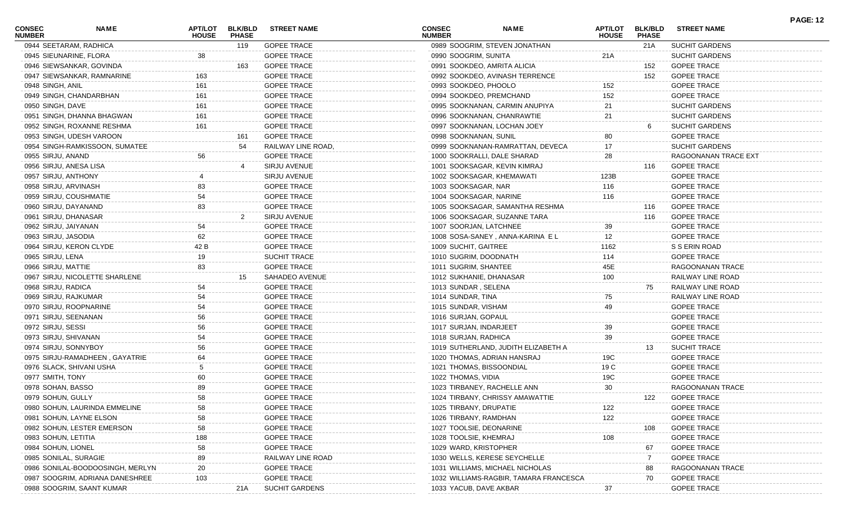| <b>CONSEC</b><br><b>NUMBER</b> | <b>NAME</b>                      | APT/LOT<br><b>HOUSE</b> | <b>BLK/BLD</b><br><b>PHASE</b> | <b>STREET NAME</b>    | CONSEC<br><b>NUMBER</b>  | <b>NAME</b>                            | <b>APT/LOT</b><br><b>HOUSE</b> | <b>BLK/BLD</b><br><b>PHASE</b> | <b>STREET NAME</b>    | <b>PAGE: 12</b> |
|--------------------------------|----------------------------------|-------------------------|--------------------------------|-----------------------|--------------------------|----------------------------------------|--------------------------------|--------------------------------|-----------------------|-----------------|
|                                | 0944 SEETARAM, RADHICA           |                         | 119                            | <b>GOPEE TRACE</b>    |                          | 0989 SOOGRIM, STEVEN JONATHAN          |                                | 21A                            | <b>SUCHIT GARDENS</b> |                 |
|                                | 0945 SIEUNARINE, FLORA           | 38                      |                                | <b>GOPEE TRACE</b>    | 0990 SOOGRIM, SUNITA     |                                        | 21A                            |                                | <b>SUCHIT GARDENS</b> |                 |
|                                | 0946 SIEWSANKAR, GOVINDA         |                         | 163                            | <b>GOPEE TRACE</b>    |                          | 0991 SOOKDEO, AMRITA ALICIA            |                                | 152                            | <b>GOPEE TRACE</b>    |                 |
|                                | 0947 SIEWSANKAR, RAMNARINE       |                         |                                | <b>GOPEE TRACE</b>    |                          | 0992 SOOKDEO, AVINASH TERRENCE         |                                | 152                            | <b>GOPEE TRACE</b>    |                 |
| 0948 SINGH, ANIL               |                                  | 161                     |                                | <b>GOPEE TRACE</b>    | 0993 SOOKDEO, PHOOLO     |                                        | 152                            |                                | <b>GOPEE TRACE</b>    |                 |
|                                | 0949 SINGH, CHANDARBHAN          | 161                     |                                | <b>GOPEE TRACE</b>    |                          | 0994 SOOKDEO, PREMCHAND                | 152                            |                                | <b>GOPEE TRACE</b>    |                 |
| 0950 SINGH, DAVE               |                                  | 161                     |                                | <b>GOPEE TRACE</b>    |                          | 0995 SOOKNANAN, CARMIN ANUPIYA         | 21                             |                                | <b>SUCHIT GARDENS</b> |                 |
|                                | 0951 SINGH, DHANNA BHAGWAN       | 161                     |                                | <b>GOPEE TRACE</b>    |                          | 0996 SOOKNANAN, CHANRAWTIE             | 21                             |                                | <b>SUCHIT GARDENS</b> |                 |
|                                | 0952 SINGH, ROXANNE RESHMA       | 161                     |                                | <b>GOPEE TRACE</b>    |                          | 0997 SOOKNANAN, LOCHAN JOEY            |                                | 6                              | <b>SUCHIT GARDENS</b> |                 |
|                                | 0953 SINGH, UDESH VAROON         |                         | 161                            | <b>GOPEE TRACE</b>    | 0998 SOOKNANAN, SUNIL    |                                        | 80                             |                                | <b>GOPEE TRACE</b>    |                 |
|                                | 0954 SINGH-RAMKISSOON, SUMATEE   |                         | 54                             | RAILWAY LINE ROAD,    |                          | 0999 SOOKNANAN-RAMRATTAN, DEVECA       | 17                             |                                | <b>SUCHIT GARDENS</b> |                 |
| 0955 SIRJU, ANAND              |                                  | 56                      |                                | <b>GOPEE TRACE</b>    |                          | 1000 SOOKRALLI, DALE SHARAD            | 28                             |                                | RAGOONANAN TRACE EXT  |                 |
| 0956 SIRJU, ANESA LISA         |                                  |                         |                                | SIRJU AVENUE          |                          | 1001 SOOKSAGAR, KEVIN KIMRAJ           |                                | 116                            | <b>GOPEE TRACE</b>    |                 |
| 0957 SIRJU, ANTHONY            |                                  |                         |                                | SIRJU AVENUE          |                          | 1002 SOOKSAGAR, KHEMAWATI              | 123B                           |                                | <b>GOPEE TRACE</b>    |                 |
| 0958 SIRJU, ARVINASH           |                                  | 83                      |                                | <b>GOPEE TRACE</b>    | 1003 SOOKSAGAR, NAR      |                                        | 116                            |                                | <b>GOPEE TRACE</b>    |                 |
|                                | 0959 SIRJU, COUSHMATIE           | 54                      |                                | <b>GOPEE TRACE</b>    | 1004 SOOKSAGAR, NARINE   |                                        | 116                            |                                | <b>GOPEE TRACE</b>    |                 |
| 0960 SIRJU, DAYANAND           |                                  | 83                      |                                | <b>GOPEE TRACE</b>    |                          | 1005 SOOKSAGAR, SAMANTHA RESHMA        |                                | 116                            | <b>GOPEE TRACE</b>    |                 |
| 0961 SIRJU, DHANASAR           |                                  |                         | 2                              | SIRJU AVENUE          |                          | 1006 SOOKSAGAR, SUZANNE TARA           |                                | 116                            | <b>GOPEE TRACE</b>    |                 |
| 0962 SIRJU, JAIYANAN           |                                  | 54                      |                                | <b>GOPEE TRACE</b>    | 1007 SOORJAN, LATCHNEE   |                                        | 39                             |                                | <b>GOPEE TRACE</b>    |                 |
| 0963 SIRJU, JASODIA            |                                  | 62                      |                                | <b>GOPEE TRACE</b>    |                          | 1008 SOSA-SANEY, ANNA-KARINA EL        | 12                             |                                | <b>GOPEE TRACE</b>    |                 |
|                                | 0964 SIRJU, KERON CLYDE          | 42 B                    |                                | <b>GOPEE TRACE</b>    | 1009 SUCHIT, GAITREE     |                                        | 1162                           |                                | S S ERIN ROAD         |                 |
| 0965 SIRJU, LENA               |                                  | 19                      |                                | <b>SUCHIT TRACE</b>   | 1010 SUGRIM, DOODNATH    |                                        | 114                            |                                | <b>GOPEE TRACE</b>    |                 |
| 0966 SIRJU, MATTIE             |                                  | 83                      |                                | <b>GOPEE TRACE</b>    | 1011 SUGRIM, SHANTEE     |                                        | 45E                            |                                | RAGOONANAN TRACE      |                 |
|                                | 0967 SIRJU, NICOLETTE SHARLENE   |                         | 15                             | SAHADEO AVENUE        | 1012 SUKHANIE, DHANASAR  |                                        | 100                            |                                | RAILWAY LINE ROAD     |                 |
| 0968 SIRJU, RADICA             |                                  | 54                      |                                | <b>GOPEE TRACE</b>    | 1013 SUNDAR, SELENA      |                                        |                                | 75                             | RAILWAY LINE ROAD     |                 |
| 0969 SIRJU, RAJKUMAR           |                                  |                         |                                | <b>GOPEE TRACE</b>    | 1014 SUNDAR, TINA        |                                        | 75                             |                                | RAILWAY LINE ROAD     |                 |
|                                | 0970 SIRJU, ROOPNARINE           | 54                      |                                | <b>GOPEE TRACE</b>    | 1015 SUNDAR, VISHAM      |                                        | 49                             |                                | <b>GOPEE TRACE</b>    |                 |
| 0971 SIRJU, SEENANAN           |                                  | 56                      |                                | <b>GOPEE TRACE</b>    | 1016 SURJAN, GOPAUL      |                                        |                                |                                | <b>GOPEE TRACE</b>    |                 |
| 0972 SIRJU, SESSI              |                                  | 56                      |                                | <b>GOPEE TRACE</b>    | 1017 SURJAN, INDARJEET   |                                        | 39                             |                                | <b>GOPEE TRACE</b>    |                 |
| 0973 SIRJU, SHIVANAN           |                                  |                         |                                | <b>GOPEE TRACE</b>    | 1018 SURJAN, RADHICA     |                                        | 39                             |                                | <b>GOPEE TRACE</b>    |                 |
| 0974 SIRJU, SONNYBOY           |                                  | 56                      |                                | <b>GOPEE TRACE</b>    |                          | 1019 SUTHERLAND, JUDITH ELIZABETH A    |                                | 13                             | <b>SUCHIT TRACE</b>   |                 |
|                                | 0975 SIRJU-RAMADHEEN, GAYATRIE   | 64                      |                                | <b>GOPEE TRACE</b>    |                          | 1020 THOMAS, ADRIAN HANSRAJ            | 19C                            |                                | <b>GOPEE TRACE</b>    |                 |
|                                | 0976 SLACK, SHIVANI USHA         |                         |                                | <b>GOPEE TRACE</b>    | 1021 THOMAS, BISSOONDIAL |                                        | 19 C                           |                                | <b>GOPEE TRACE</b>    |                 |
| 0977 SMITH, TONY               |                                  | 60                      |                                | <b>GOPEE TRACE</b>    | 1022 THOMAS, VIDIA       |                                        | 19C                            |                                | <b>GOPEE TRACE</b>    |                 |
| 0978 SOHAN, BASSO              |                                  | 89                      |                                | <b>GOPEE TRACE</b>    |                          | 1023 TIRBANEY, RACHELLE ANN            | 30                             |                                | RAGOONANAN TRACE      |                 |
| 0979 SOHUN, GULLY              |                                  | 58                      |                                | <b>GOPEE TRACE</b>    |                          | 1024 TIRBANY, CHRISSY AMAWATTIE        |                                | 122                            | <b>GOPEE TRACE</b>    |                 |
|                                | 0980 SOHUN, LAURINDA EMMELINE    | 58                      |                                | <b>GOPEE TRACE</b>    | 1025 TIRBANY, DRUPATIE   |                                        | 122                            |                                | <b>GOPEE TRACE</b>    |                 |
|                                | 0981 SOHUN, LAYNE ELSON          | 58                      |                                | <b>GOPEE TRACE</b>    | 1026 TIRBANY, RAMDHAN    |                                        | 122                            |                                | <b>GOPEE TRACE</b>    |                 |
|                                | 0982 SOHUN, LESTER EMERSON       | 58                      |                                | <b>GOPEE TRACE</b>    | 1027 TOOLSIE, DEONARINE  |                                        |                                | 108                            | <b>GOPEE TRACE</b>    |                 |
| 0983 SOHUN, LETITIA            |                                  | 188                     |                                | <b>GOPEE TRACE</b>    | 1028 TOOLSIE, KHEMRAJ    |                                        | 108                            |                                | <b>GOPEE TRACE</b>    |                 |
| 0984 SOHUN, LIONEL             |                                  | 58                      |                                | <b>GOPEE TRACE</b>    | 1029 WARD, KRISTOPHER    |                                        |                                | 67                             | <b>GOPEE TRACE</b>    |                 |
| 0985 SONILAL, SURAGIE          |                                  | 89                      |                                | RAILWAY LINE ROAD     |                          | 1030 WELLS, KERESE SEYCHELLE           |                                | <sup>7</sup>                   | <b>GOPEE TRACE</b>    |                 |
|                                | 0986 SONILAL-BOODOOSINGH, MERLYN | 20                      |                                | <b>GOPEE TRACE</b>    |                          | 1031 WILLIAMS, MICHAEL NICHOLAS        |                                | 88                             | RAGOONANAN TRACE      |                 |
|                                | 0987 SOOGRIM, ADRIANA DANESHREE  | 103                     |                                | <b>GOPEE TRACE</b>    |                          | 1032 WILLIAMS-RAGBIR, TAMARA FRANCESCA |                                | 70                             | <b>GOPEE TRACE</b>    |                 |
|                                | 0988 SOOGRIM, SAANT KUMAR        |                         | 21A                            | <b>SUCHIT GARDENS</b> | 1033 YACUB, DAVE AKBAR   |                                        | 37                             |                                | <b>GOPEE TRACE</b>    |                 |
|                                |                                  |                         |                                |                       |                          |                                        |                                |                                |                       |                 |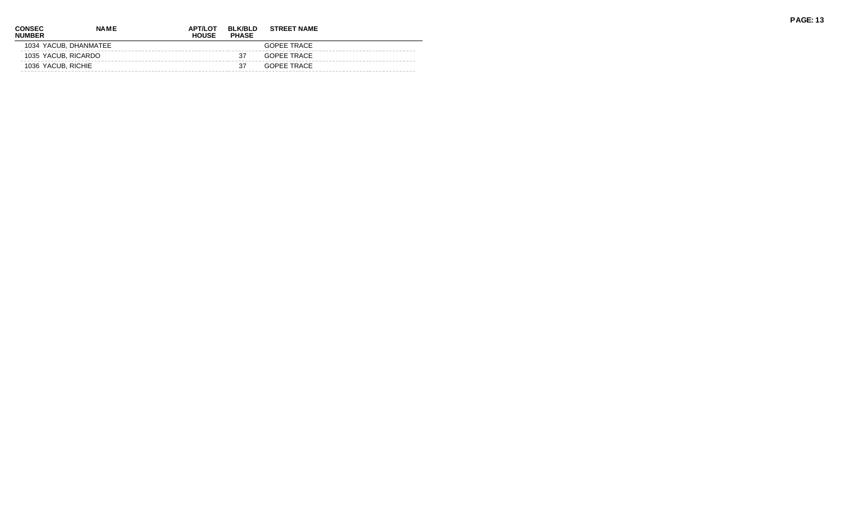| <b>CONSEC</b><br><b>NUMBER</b> | <b>NAME</b>           | <b>APT/LOT</b><br><b>HOUSE</b> | <b>BLK/BLD</b><br><b>PHASE</b> | <b>STREET NAME</b> |  |
|--------------------------------|-----------------------|--------------------------------|--------------------------------|--------------------|--|
|                                | 1034 YACUB, DHANMATEE |                                |                                | GOPFF TRACF        |  |
|                                | 1035 YACUB, RICARDO   |                                | 37                             | GOPFF TRACF        |  |
|                                | 1036 YACUB, RICHIE    |                                | 37                             | GOPFF TRACF        |  |